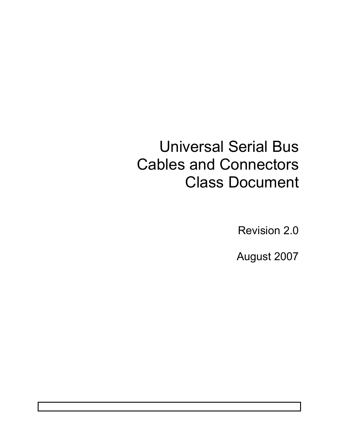# Universal Serial Bus Cables and Connectors Class Document

Revision 2.0

August 2007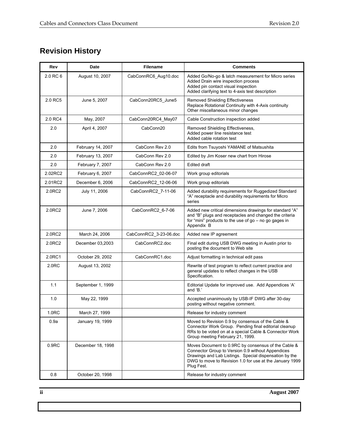# **Revision History**

| Rev               | Date              | <b>Filename</b>        | <b>Comments</b>                                                                                                                                                                                                                             |
|-------------------|-------------------|------------------------|---------------------------------------------------------------------------------------------------------------------------------------------------------------------------------------------------------------------------------------------|
| 2.0 RC 6          | August 10, 2007   | CabConnRC6_Aug10.doc   | Added Go/No-go & latch measurement for Micro series<br>Added Drain wire inspection process<br>Added pin contact visual inspection<br>Added clarifying text to 4-axis test description                                                       |
| 2.0 RC5           | June 5, 2007      | CabConn20RC5_June5     | <b>Removed Shielding Effectiveness</b><br>Replace Rotational Continuity with 4-Axis continuity<br>Other miscellaneous minor changes                                                                                                         |
| 2.0 RC4           | May, 2007         | CabConn20RC4_May07     | Cable Construction inspection added                                                                                                                                                                                                         |
| 2.0               | April 4, 2007     | CabConn20              | Removed Shielding Effectiveness,<br>Added power line resistance test<br>Added cable rotation test                                                                                                                                           |
| 2.0               | February 14, 2007 | CabConn Rev 2.0        | Edits from Tsuyoshi YAMANE of Matsushita                                                                                                                                                                                                    |
| 2.0               | February 13, 2007 | CabConn Rev 2.0        | Edited by Jim Koser new chart from Hirose                                                                                                                                                                                                   |
| 2.0               | February 7, 2007  | CabConn Rev 2.0        | Edited draft                                                                                                                                                                                                                                |
| 2.02RC2           | February 6, 2007  | CabConnRC2_02-06-07    | Work group editorials                                                                                                                                                                                                                       |
| 2.01RC2           | December 6, 2006  | CabConnRC2_12-06-06    | Work group editorials                                                                                                                                                                                                                       |
| 2.0RC2            | July 11, 2006     | CabConnRC2_7-11-06     | Added durability requirements for Ruggedized Standard<br>"A" receptacle and durability requirements for Micro<br>series                                                                                                                     |
| 2.0RC2            | June 7, 2006      | CabConnRC2_6-7-06      | Added new critical dimensions drawings for standard "A"<br>and "B" plugs and receptacles and changed the criteria<br>for "mini" products to the use of $go - no go gag$ in<br>Appendix B                                                    |
| 2.0RC2            | March 24, 2006    | CabConnRC2_3-23-06.doc | Added new IP agreement                                                                                                                                                                                                                      |
| 2.0RC2            | December 03,2003  | CabConnRC2.doc         | Final edit during USB DWG meeting in Austin prior to<br>posting the document to Web site                                                                                                                                                    |
| 2.0RC1            | October 29, 2002  | CabConnRC1.doc         | Adjust formatting in technical edit pass                                                                                                                                                                                                    |
| 2.0 <sub>RC</sub> | August 13, 2002   |                        | Rewrite of test program to reflect current practice and<br>general updates to reflect changes in the USB<br>Specification.                                                                                                                  |
| 1.1               | September 1, 1999 |                        | Editorial Update for improved use. Add Appendices 'A'<br>and 'B.'                                                                                                                                                                           |
| 1.0               | May 22, 1999      |                        | Accepted unanimously by USB-IF DWG after 30-day<br>posting without negative comment.                                                                                                                                                        |
| 1.0RC             | March 27, 1999    |                        | Release for industry comment                                                                                                                                                                                                                |
| 0.9a              | January 19, 1999  |                        | Moved to Revision 0.9 by consensus of the Cable &<br>Connector Work Group. Pending final editorial cleanup<br>RRs to be voted on at a special Cable & Connector Work<br>Group meeting February 21, 1999.                                    |
| 0.9 <sub>RC</sub> | December 18, 1998 |                        | Moves Document to 0.9RC by consensus of the Cable &<br>Connector Group to Version 0.9 without Appendices<br>Drawings and Lab Listings. Special dispensation by the<br>DWG to move to Revision 1.0 for use at the January 1999<br>Plug Fest. |
| 0.8               | October 20, 1998  |                        | Release for industry comment                                                                                                                                                                                                                |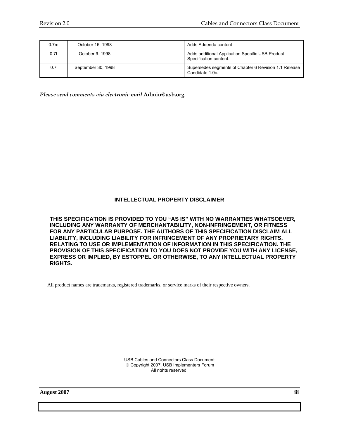| 0.7 <sub>m</sub> | October 16, 1998   | Adds Addenda content                                                       |
|------------------|--------------------|----------------------------------------------------------------------------|
| 0.7f             | October 9, 1998    | Adds additional Application Specific USB Product<br>Specification content. |
| 0.7              | September 30, 1998 | Supersedes segments of Chapter 6 Revision 1.1 Release<br>Candidate 1.0c.   |

*Please send comments via electronic mail* **Admin@usb.org**

#### **INTELLECTUAL PROPERTY DISCLAIMER**

**THIS SPECIFICATION IS PROVIDED TO YOU "AS IS" WITH NO WARRANTIES WHATSOEVER, INCLUDING ANY WARRANTY OF MERCHANTABILITY, NON-INFRINGEMENT, OR FITNESS FOR ANY PARTICULAR PURPOSE. THE AUTHORS OF THIS SPECIFICATION DISCLAIM ALL LIABILITY, INCLUDING LIABILITY FOR INFRINGEMENT OF ANY PROPRIETARY RIGHTS, RELATING TO USE OR IMPLEMENTATION OF INFORMATION IN THIS SPECIFICATION. THE PROVISION OF THIS SPECIFICATION TO YOU DOES NOT PROVIDE YOU WITH ANY LICENSE, EXPRESS OR IMPLIED, BY ESTOPPEL OR OTHERWISE, TO ANY INTELLECTUAL PROPERTY RIGHTS.** 

All product names are trademarks, registered trademarks, or service marks of their respective owners.

USB Cables and Connectors Class Document © Copyright 2007, USB Implementers Forum All rights reserved.

**August 2007 iii**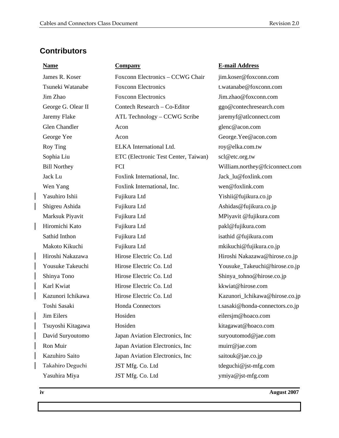# **Contributors**

James R. Koser Foxconn Electronics – CCWG Chair iim.koser@foxconn.com Tsuneki Watanabe Foxconn Electronics t.watanabe@foxconn.com Jim Zhao Foxconn Electronics Jim.zhao@foxconn.com George G. Olear II Contech Research – Co-Editor ggo@contechresearch.com Jaremy Flake ATL Technology – CCWG Scribe jaremyf@atlconnect.com Glen Chandler **Acon** Acon and Acon glenc@acon.com George Yee Acon Acon George.Yee@acon.com Roy Ting ELKA International Ltd. roy@elka.com.tw Sophia Liu ETC (Electronic Test Center, Taiwan) scl@etc.org.tw Bill Northey FCI William.northey@fciconnect.com Jack Lu Foxlink International, Inc. Jack\_lu@foxlink.com Wen Yang Foxlink International, Inc. wen@foxlink.com Yasuhiro Ishii Fujikura Ltd Yishii@fujikura.co.jp Shigreu Ashida Fujikura Ltd Ashidas@fujikura.co.jp Marksuk Piyavit Fujikura Ltd MPiyavit @fujikura.com Hiromichi Kato Fujikura Ltd pakl@fujikura.com Sathid Inthon **Fujikura Ltd** isathid @fujikura.com Makoto Kikuchi Fujikura Ltd mkikuchi@fujikura.co.jp Hiroshi Nakazawa Hirose Electric Co. Ltd Hiroshi Nakazawa@hirose.co.jp Yousuke Takeuchi Hirose Electric Co. Ltd Yousuke Takeuchi@hirose.co.jp Shinya Tono Hirose Electric Co. Ltd Shinya\_tohno@hirose.co.jp Karl Kwiat **Hirose Electric Co.** Ltd **Kkwiat@hirose.com** Kazunori Ichikawa Hirose Electric Co. Ltd Kazunori\_Ichikawa@hirose.co.jp Toshi Sasaki **Honda Connectors** t.sasaki @honda-connectors.co.jp Jim Eilers Hosiden eilersjm@hoaco.com Tsuyoshi Kitagawa Hosiden kitagawat@hoaco.com David Suryoutomo Japan Aviation Electronics, Inc suryoutomod@jae.com Ron Muir Japan Aviation Electronics, Inc muirr@jae.com Kazuhiro Saito Japan Aviation Electronics, Inc saitouk@jae.co.jp Takahiro Deguchi JST Mfg. Co. Ltd tdeguchi@jst-mfg.com Yasuhira Miya **JST Mfg. Co.** Ltd **ymiya@jst-mfg.com** 

#### **Name Company E-mail Address**

**iv August 2007**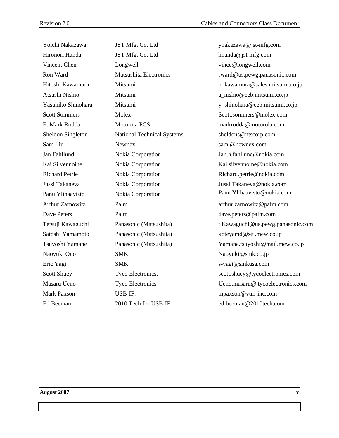| Yoichi Nakazawa         | JST Mfg. Co. Ltd              | ynakazawa@jst-mfg.com             |
|-------------------------|-------------------------------|-----------------------------------|
| Hironori Handa          | JST Mfg. Co. Ltd              | hhanda@jst-mfg.com                |
| Vincent Chen            | Longwell                      | vince@longwell.com                |
| Ron Ward                | <b>Matsushita Electronics</b> | rward@us.pewg.panasonic.com       |
| Hitoshi Kawamura        | Mitsumi                       | h_kawamura@sales.mitsumi.co.jp    |
| Atsushi Nishio          | Mitsumi                       | a_nishio@eeb.mitsumi.co.jp        |
| Yasuhiko Shinohara      | Mitsumi                       | y_shinohara@eeb.mitsumi.co.jp     |
| <b>Scott Sommers</b>    | Molex                         | Scott.sommers@molex.com           |
| E. Mark Rodda           | Motorola PCS                  | markrodda@motorola.com            |
| Sheldon Singleton       | National Technical Systems    | sheldons@ntscorp.com              |
| Sam Liu                 | Newnex                        | saml@newnex.com                   |
| Jan Fahllund            | Nokia Corporation             | Jan.h.fahllund@nokia.com          |
| Kai Silvennoine         | Nokia Corporation             | Kai.silvennoine@nokia.com         |
| <b>Richard Petrie</b>   | Nokia Corporation             | Richard.petrie@nokia.com          |
| Jussi Takaneva          | Nokia Corporation             | Jussi.Takaneva@nokia.com          |
| Panu Ylihaavisto        | Nokia Corporation             | Panu. Ylihaavisto@nokia.com       |
| <b>Arthur Zarnowitz</b> | Palm                          | arthur.zarnowitz@palm.com         |
| Dave Peters             | Palm                          | dave.peters@palm.com              |
| Tetsuji Kawaguchi       | Panasonic (Matsushita)        | t Kawaguchi@us.pewg.panasonic.com |
| Satoshi Yamamoto        | Panasonic (Matsushita)        | koteyamd@sei.mew.co.jp            |
| Tsuyoshi Yamane         | Panasonic (Matsushita)        | Yamane.tsuyoshi@mail.mew.co.jp    |
| Naoyuki Ono             | <b>SMK</b>                    | Naoyuki@smk.co.jp                 |
| Eric Yagi               | <b>SMK</b>                    | s-yagi@smkusa.com                 |
| Scott Shuey             | Tyco Electronics.             | scott.shuey@tycoelectronics.com   |
| Masaru Ueno             | <b>Tyco Electronics</b>       | Ueno.masaru@ tycoelectronics.com  |
| <b>Mark Paxson</b>      | USB-IF.                       | mpaxson@vtm-inc.com               |
| Ed Beeman               | 2010 Tech for USB-IF          | ed.beeman@2010tech.com            |
|                         |                               |                                   |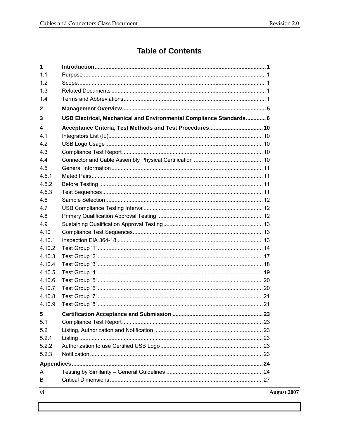# **Table of Contents**

| 1            |                                                                     |             |
|--------------|---------------------------------------------------------------------|-------------|
| 1.1          |                                                                     |             |
| 1.2          |                                                                     |             |
| 1.3          |                                                                     |             |
| 1.4          |                                                                     |             |
| $\mathbf{2}$ |                                                                     |             |
| 3            | USB Electrical, Mechanical and Environmental Compliance Standards 6 |             |
| 4            | Acceptance Criteria, Test Methods and Test Procedures 10            |             |
| 4.1          |                                                                     |             |
| 4.2          |                                                                     |             |
| 4.3          |                                                                     |             |
| 4.4          |                                                                     |             |
| 4.5          |                                                                     |             |
| 4.5.1        |                                                                     |             |
| 4.5.2        |                                                                     |             |
| 4.5.3        |                                                                     |             |
| 4.6          |                                                                     |             |
| 4.7          |                                                                     |             |
| 4.8          |                                                                     |             |
| 4.9          |                                                                     |             |
| 4.10         |                                                                     |             |
| 4.10.1       |                                                                     |             |
| 4.10.2       |                                                                     |             |
| 4.10.3       |                                                                     |             |
| 4.10.4       |                                                                     |             |
| 4.10.5       |                                                                     |             |
| 4.10.6       |                                                                     |             |
| 4.10.7       |                                                                     |             |
| 4.10.8       |                                                                     |             |
| 4.10.9       |                                                                     |             |
| 5            |                                                                     |             |
| 5.1          |                                                                     |             |
| 5.2          |                                                                     |             |
| 5.2.1        |                                                                     |             |
| 5.2.2        |                                                                     |             |
| 5.2.3        |                                                                     |             |
|              |                                                                     |             |
| A            |                                                                     |             |
| B            |                                                                     |             |
| vi           |                                                                     | August 2007 |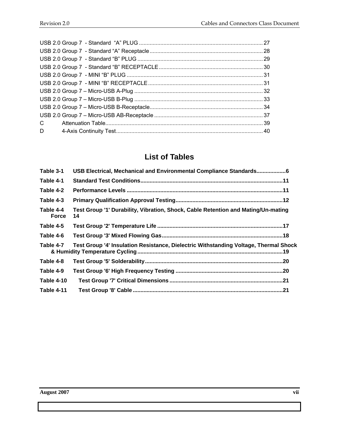| C. |  |
|----|--|
| D  |  |

# **List of Tables**

| Table 3-1                 | USB Electrical, Mechanical and Environmental Compliance Standards6                      |  |
|---------------------------|-----------------------------------------------------------------------------------------|--|
| Table 4-1                 |                                                                                         |  |
| Table 4-2                 |                                                                                         |  |
| Table 4-3                 |                                                                                         |  |
| Table 4-4<br><b>Force</b> | Test Group '1' Durability, Vibration, Shock, Cable Retention and Mating/Un-mating<br>14 |  |
| Table 4-5                 |                                                                                         |  |
| Table 4-6                 |                                                                                         |  |
| Table 4-7                 | Test Group '4' Insulation Resistance, Dielectric Withstanding Voltage, Thermal Shock    |  |
| Table 4-8                 |                                                                                         |  |
| Table 4-9                 |                                                                                         |  |
| Table 4-10                |                                                                                         |  |
| Table 4-11                |                                                                                         |  |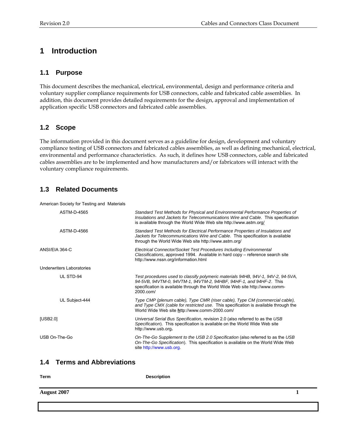# **1 Introduction**

#### **1.1 Purpose**

This document describes the mechanical, electrical, environmental, design and performance criteria and voluntary supplier compliance requirements for USB connectors, cable and fabricated cable assemblies. In addition, this document provides detailed requirements for the design, approval and implementation of application specific USB connectors and fabricated cable assemblies.

#### **1.2 Scope**

The information provided in this document serves as a guideline for design, development and voluntary compliance testing of USB connectors and fabricated cables assemblies, as well as defining mechanical, electrical, environmental and performance characteristics. As such, it defines how USB connectors, cable and fabricated cables assemblies are to be implemented and how manufacturers and/or fabricators will interact with the voluntary compliance requirements.

#### **1.3 Related Documents**

American Society for Testing and Materials

| ASTM-D-4565               | Standard Test Methods for Physical and Environmental Performance Properties of<br>Insulations and Jackets for Telecommunications Wire and Cable. This specification<br>is available through the World Wide Web site http://www.astm.org/           |
|---------------------------|----------------------------------------------------------------------------------------------------------------------------------------------------------------------------------------------------------------------------------------------------|
| ASTM-D-4566               | Standard Test Methods for Electrical Performance Properties of Insulations and<br>Jackets for Telecommunications Wire and Cable. This specification is available<br>through the World Wide Web site http://www.astm.org/                           |
| ANSI/EIA 364-C            | Electrical Connector/Socket Test Procedures Including Environmental<br>Classifications, approved 1994. Available in hard copy – reference search site<br>http://www.nssn.org/information.html                                                      |
| Underwriters Laboratories |                                                                                                                                                                                                                                                    |
| UL STD-94                 | Test procedures used to classify polymeric materials 94HB, 94V-1, 94V-2, 94-5VA,<br>94-5VB, 94VTM-0, 94VTM-1, 94VTM-2, 94HBF, 94HF-1, and 94HF-2. This<br>specification is available through the World Wide Web site http://www.comm-<br>2000.com/ |
| UL Subject-444            | Type CMP (plenum cable), Type CMR (riser cable), Type CM (commercial cable),<br>and Type CMX (cable for restricted use. This specification is available through the<br>World Wide Web site http://www.comm-2000.com/                               |
| [USB2.0]                  | Universal Serial Bus Specification, revision 2.0 (also referred to as the USB<br>Specification). This specification is available on the World Wide Web site<br>http://www.usb.org.                                                                 |
| USB On-The-Go             | On-The-Go Supplement to the USB 2.0 Specification (also referred to as the USB<br>On-The-Go Specification). This specification is available on the World Wide Web<br>site http://www.usb.org                                                       |

#### **1.4 Terms and Abbreviations**

| Term               | <b>Description</b> |  |
|--------------------|--------------------|--|
| <b>August 2007</b> |                    |  |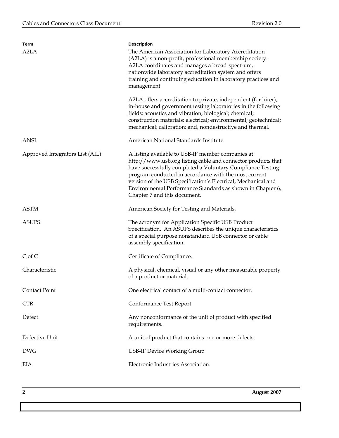| Term<br>A <sub>2</sub> LA       | <b>Description</b><br>The American Association for Laboratory Accreditation<br>(A2LA) is a non-profit, professional membership society.<br>A2LA coordinates and manages a broad-spectrum,<br>nationwide laboratory accreditation system and offers<br>training and continuing education in laboratory practices and<br>management.<br>A2LA offers accreditation to private, independent (for hirer),<br>in-house and government testing laboratories in the following<br>fields: acoustics and vibration; biological; chemical;<br>construction materials; electrical; environmental; geotechnical;<br>mechanical; calibration; and, nondestructive and thermal. |
|---------------------------------|------------------------------------------------------------------------------------------------------------------------------------------------------------------------------------------------------------------------------------------------------------------------------------------------------------------------------------------------------------------------------------------------------------------------------------------------------------------------------------------------------------------------------------------------------------------------------------------------------------------------------------------------------------------|
| <b>ANSI</b>                     | American National Standards Institute                                                                                                                                                                                                                                                                                                                                                                                                                                                                                                                                                                                                                            |
| Approved Integrators List (AIL) | A listing available to USB-IF member companies at<br>http://www.usb.org listing cable and connector products that<br>have successfully completed a Voluntary Compliance Testing<br>program conducted in accordance with the most current<br>version of the USB Specification's Electrical, Mechanical and<br>Environmental Performance Standards as shown in Chapter 6,<br>Chapter 7 and this document.                                                                                                                                                                                                                                                          |
| <b>ASTM</b>                     | American Society for Testing and Materials.                                                                                                                                                                                                                                                                                                                                                                                                                                                                                                                                                                                                                      |
| <b>ASUPS</b>                    | The acronym for Application Specific USB Product<br>Specification. An ASUPS describes the unique characteristics<br>of a special purpose nonstandard USB connector or cable<br>assembly specification.                                                                                                                                                                                                                                                                                                                                                                                                                                                           |
| $C$ of $C$                      | Certificate of Compliance.                                                                                                                                                                                                                                                                                                                                                                                                                                                                                                                                                                                                                                       |
| Characteristic                  | A physical, chemical, visual or any other measurable property<br>of a product or material.                                                                                                                                                                                                                                                                                                                                                                                                                                                                                                                                                                       |
| <b>Contact Point</b>            | One electrical contact of a multi-contact connector.                                                                                                                                                                                                                                                                                                                                                                                                                                                                                                                                                                                                             |
| <b>CTR</b>                      | Conformance Test Report                                                                                                                                                                                                                                                                                                                                                                                                                                                                                                                                                                                                                                          |
| Defect                          | Any nonconformance of the unit of product with specified<br>requirements.                                                                                                                                                                                                                                                                                                                                                                                                                                                                                                                                                                                        |
| Defective Unit                  | A unit of product that contains one or more defects.                                                                                                                                                                                                                                                                                                                                                                                                                                                                                                                                                                                                             |
| <b>DWG</b>                      | <b>USB-IF Device Working Group</b>                                                                                                                                                                                                                                                                                                                                                                                                                                                                                                                                                                                                                               |
| <b>EIA</b>                      | Electronic Industries Association.                                                                                                                                                                                                                                                                                                                                                                                                                                                                                                                                                                                                                               |

**2 August 2007**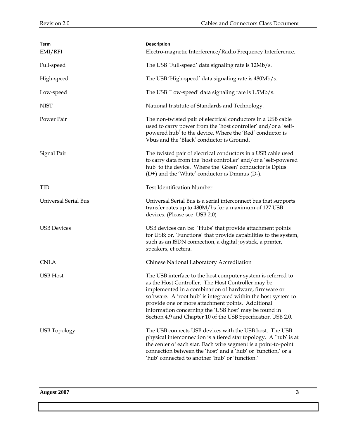| Term<br>EMI/RFI             | <b>Description</b><br>Electro-magnetic Interference/Radio Frequency Interference.                                                                                                                                                                                                                                                                                                                                           |
|-----------------------------|-----------------------------------------------------------------------------------------------------------------------------------------------------------------------------------------------------------------------------------------------------------------------------------------------------------------------------------------------------------------------------------------------------------------------------|
| Full-speed                  | The USB 'Full-speed' data signaling rate is 12Mb/s.                                                                                                                                                                                                                                                                                                                                                                         |
| High-speed                  | The USB 'High-speed' data signaling rate is 480Mb/s.                                                                                                                                                                                                                                                                                                                                                                        |
| Low-speed                   | The USB 'Low-speed' data signaling rate is 1.5Mb/s.                                                                                                                                                                                                                                                                                                                                                                         |
| <b>NIST</b>                 | National Institute of Standards and Technology.                                                                                                                                                                                                                                                                                                                                                                             |
| Power Pair                  | The non-twisted pair of electrical conductors in a USB cable<br>used to carry power from the 'host controller' and/or a 'self-<br>powered hub' to the device. Where the 'Red' conductor is<br>Vbus and the 'Black' conductor is Ground.                                                                                                                                                                                     |
| Signal Pair                 | The twisted pair of electrical conductors in a USB cable used<br>to carry data from the 'host controller' and/or a 'self-powered<br>hub' to the device. Where the 'Green' conductor is Dplus<br>(D+) and the 'White' conductor is Dminus (D-).                                                                                                                                                                              |
| TID                         | <b>Test Identification Number</b>                                                                                                                                                                                                                                                                                                                                                                                           |
| <b>Universal Serial Bus</b> | Universal Serial Bus is a serial interconnect bus that supports<br>transfer rates up to 480M/bs for a maximum of 127 USB<br>devices. (Please see USB 2.0)                                                                                                                                                                                                                                                                   |
| <b>USB Devices</b>          | USB devices can be: 'Hubs' that provide attachment points<br>for USB; or, 'Functions' that provide capabilities to the system,<br>such as an ISDN connection, a digital joystick, a printer,<br>speakers, et cetera.                                                                                                                                                                                                        |
| <b>CNLA</b>                 | Chinese National Laboratory Accreditation                                                                                                                                                                                                                                                                                                                                                                                   |
| <b>USB</b> Host             | The USB interface to the host computer system is referred to<br>as the Host Controller. The Host Controller may be<br>implemented in a combination of hardware, firmware or<br>software. A 'root hub' is integrated within the host system to<br>provide one or more attachment points. Additional<br>information concerning the 'USB host' may be found in<br>Section 4.9 and Chapter 10 of the USB Specification USB 2.0. |
| <b>USB</b> Topology         | The USB connects USB devices with the USB host. The USB<br>physical interconnection is a tiered star topology. A 'hub' is at<br>the center of each star. Each wire segment is a point-to-point<br>connection between the 'host' and a 'hub' or 'function,' or a<br>'hub' connected to another 'hub' or 'function.'                                                                                                          |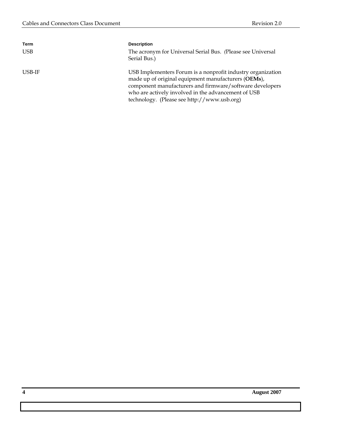| Term       | <b>Description</b>                                                                                                                                                                                                                    |
|------------|---------------------------------------------------------------------------------------------------------------------------------------------------------------------------------------------------------------------------------------|
| <b>USB</b> | The acronym for Universal Serial Bus. (Please see Universal<br>Serial Bus.)                                                                                                                                                           |
| USB-IF     | USB Implementers Forum is a nonprofit industry organization<br>made up of original equipment manufacturers (OEMs),<br>component manufacturers and firmware/software developers<br>who are actively involved in the advancement of USB |
|            | technology. (Please see http://www.usb.org)                                                                                                                                                                                           |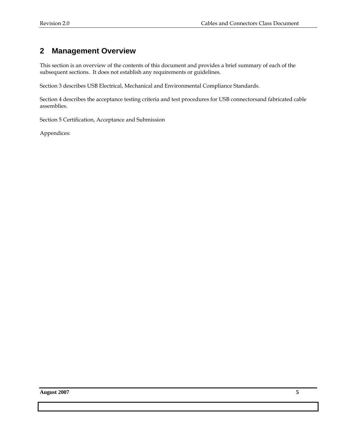# **2 Management Overview**

This section is an overview of the contents of this document and provides a brief summary of each of the subsequent sections. It does not establish any requirements or guidelines.

Section 3 describes USB Electrical, Mechanical and Environmental Compliance Standards.

Section 4 describes the acceptance testing criteria and test procedures for USB connectorsand fabricated cable assemblies.

Section 5 Certification, Acceptance and Submission

Appendices: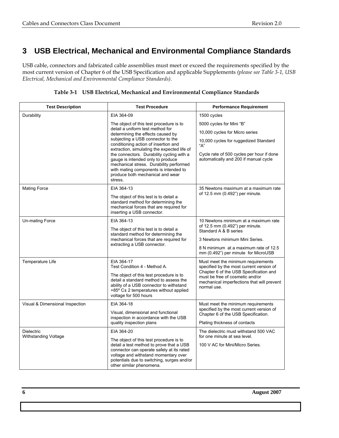# **3 USB Electrical, Mechanical and Environmental Compliance Standards**

USB cable, connectors and fabricated cable assemblies must meet or exceed the requirements specified by the most current version of Chapter 6 of the USB Specification and applicable Supplements *(please see Table 3-1, USB Electrical, Mechanical and Environmental Compliance Standards).* 

| Table 3-1 USB Electrical, Mechanical and Environmental Compliance Standards |  |  |  |
|-----------------------------------------------------------------------------|--|--|--|
|-----------------------------------------------------------------------------|--|--|--|

| <b>Test Description</b>         | <b>Test Procedure</b>                                                                                                                                                                                                                              | <b>Performance Requirement</b>                                                                                                         |  |  |
|---------------------------------|----------------------------------------------------------------------------------------------------------------------------------------------------------------------------------------------------------------------------------------------------|----------------------------------------------------------------------------------------------------------------------------------------|--|--|
| Durability                      | EIA 364-09                                                                                                                                                                                                                                         | 1500 cycles                                                                                                                            |  |  |
|                                 | The object of this test procedure is to                                                                                                                                                                                                            | 5000 cycles for Mini "B"                                                                                                               |  |  |
|                                 | detail a uniform test method for<br>determining the effects caused by                                                                                                                                                                              | 10,000 cycles for Micro series                                                                                                         |  |  |
|                                 | subjecting a USB connector to the<br>conditioning action of insertion and<br>extraction, simulating the expected life of                                                                                                                           | 10,000 cycles for ruggedized Standard<br>"А"                                                                                           |  |  |
|                                 | Cycle rate of 500 cycles per hour if done<br>automatically and 200 if manual cycle                                                                                                                                                                 |                                                                                                                                        |  |  |
| <b>Mating Force</b>             | EIA 364-13                                                                                                                                                                                                                                         | 35 Newtons maximum at a maximum rate                                                                                                   |  |  |
|                                 | The object of this test is to detail a<br>standard method for determining the<br>mechanical forces that are required for<br>inserting a USB connector.                                                                                             | of 12.5 mm (0.492") per minute.                                                                                                        |  |  |
| Un-mating Force                 | EIA 364-13                                                                                                                                                                                                                                         | 10 Newtons minimum at a maximum rate                                                                                                   |  |  |
|                                 | The object of this test is to detail a                                                                                                                                                                                                             | of 12.5 mm (0.492") per minute.<br>Standard A & B series                                                                               |  |  |
|                                 | standard method for determining the<br>mechanical forces that are required for                                                                                                                                                                     | 3 Newtons minimum Mini Series.                                                                                                         |  |  |
|                                 | extracting a USB connector.                                                                                                                                                                                                                        | 8 N minimum at a maximum rate of 12.5<br>mm (0.492") per minute for MicroUSB                                                           |  |  |
| Temperature Life                | EIA 364-17<br>Test Condition 4 - Method A.                                                                                                                                                                                                         | Must meet the minimum requirements<br>specified by the most current version of                                                         |  |  |
|                                 | The object of this test procedure is to<br>detail a standard method to assess the<br>ability of a USB connector to withstand<br>$+85^{\circ}$ C $\pm$ 2 temperatures without applied<br>voltage for 500 hours                                      | Chapter 6 of the USB Specification and<br>must be free of cosmetic and/or<br>mechanical imperfections that will prevent<br>normal use. |  |  |
| Visual & Dimensional Inspection | EIA 364-18                                                                                                                                                                                                                                         | Must meet the minimum requirements                                                                                                     |  |  |
|                                 | Visual, dimensional and functional<br>inspection in accordance with the USB                                                                                                                                                                        | specified by the most current version of<br>Chapter 6 of the USB Specification.                                                        |  |  |
|                                 | quality inspection plans                                                                                                                                                                                                                           | Plating thickness of contacts                                                                                                          |  |  |
| <b>Dielectric</b>               | EIA 364-20                                                                                                                                                                                                                                         | The dielectric must withstand 500 VAC                                                                                                  |  |  |
| <b>Withstanding Voltage</b>     | The object of this test procedure is to<br>detail a test method to prove that a USB<br>connector can operate safely at its rated<br>voltage and withstand momentary over<br>potentials due to switching, surges and/or<br>other similar phenomena. | for one minute at sea level.<br>100 V AC for Mini/Micro Series.                                                                        |  |  |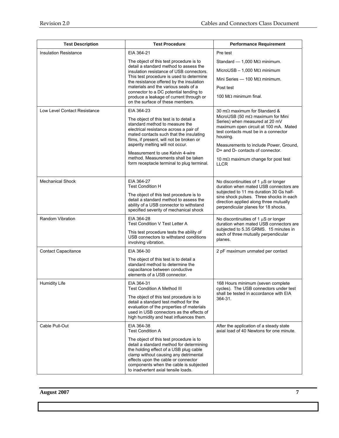| <b>Test Description</b>      | <b>Test Procedure</b>                                                                                                                                                                                                                                                                          | <b>Performance Requirement</b>                                                                                                                                                                                    |  |  |  |
|------------------------------|------------------------------------------------------------------------------------------------------------------------------------------------------------------------------------------------------------------------------------------------------------------------------------------------|-------------------------------------------------------------------------------------------------------------------------------------------------------------------------------------------------------------------|--|--|--|
| <b>Insulation Resistance</b> | EIA 364-21                                                                                                                                                                                                                                                                                     | Pre test                                                                                                                                                                                                          |  |  |  |
|                              | The object of this test procedure is to                                                                                                                                                                                                                                                        | Standard $-$ 1,000 M $\Omega$ minimum.                                                                                                                                                                            |  |  |  |
|                              | detail a standard method to assess the<br>insulation resistance of USB connectors.                                                                                                                                                                                                             | MIcroUSB $- 1,000$ M $\Omega$ minimum                                                                                                                                                                             |  |  |  |
|                              | This test procedure is used to determine<br>the resistance offered by the insulation                                                                                                                                                                                                           | Mini Series $-$ 100 M $\Omega$ minimum.                                                                                                                                                                           |  |  |  |
|                              | materials and the various seals of a                                                                                                                                                                                                                                                           | Post test                                                                                                                                                                                                         |  |  |  |
|                              | connector to a DC potential tending to<br>produce a leakage of current through or<br>on the surface of these members.                                                                                                                                                                          |                                                                                                                                                                                                                   |  |  |  |
| Low Level Contact Resistance | EIA 364-23                                                                                                                                                                                                                                                                                     | 30 m $\Omega$ maximum for Standard &                                                                                                                                                                              |  |  |  |
|                              | The object of this test is to detail a<br>standard method to measure the<br>electrical resistance across a pair of<br>mated contacts such that the insulating<br>films, if present, will not be broken or<br>asperity melting will not occur.                                                  | MicroUSB (50 m $\Omega$ maximum for Mini<br>Series) when measured at 20 mV<br>maximum open circuit at 100 mA. Mated<br>test contacts must be in a connector<br>housing.<br>Measurements to include Power, Ground, |  |  |  |
|                              | Measurement to use Kelvin 4-wire<br>method. Measurements shall be taken<br>form receptacle terminal to plug terminal.                                                                                                                                                                          | D+ and D- contacts of connector.<br>10 m $\Omega$ maximum change for post test<br>LLCR                                                                                                                            |  |  |  |
| <b>Mechanical Shock</b>      | EIA 364-27<br><b>Test Condition H</b>                                                                                                                                                                                                                                                          | No discontinuities of 1 $\mu$ S or longer<br>duration when mated USB connectors are                                                                                                                               |  |  |  |
|                              | The object of this test procedure is to<br>detail a standard method to assess the<br>ability of a USB connector to withstand<br>specified severity of mechanical shock                                                                                                                         | subjected to 11 ms duration 30 Gs half-<br>sine shock pulses. Three shocks in each<br>direction applied along three mutually<br>perpendicular planes for 18 shocks.                                               |  |  |  |
| <b>Random Vibration</b>      | EIA 364-28<br>Test Condition V Test Letter A                                                                                                                                                                                                                                                   | No discontinuities of 1 $\mu$ S or longer<br>duration when mated USB connectors are                                                                                                                               |  |  |  |
|                              | This test procedure tests the ability of<br>USB connectors to withstand conditions<br>involving vibration.                                                                                                                                                                                     | subjected to 5.35 GRMS. 15 minutes in<br>each of three mutually perpendicular<br>planes.                                                                                                                          |  |  |  |
| <b>Contact Capacitance</b>   | EIA 364-30                                                                                                                                                                                                                                                                                     | 2 pF maximum unmated per contact                                                                                                                                                                                  |  |  |  |
|                              | The object of this test is to detail a<br>standard method to determine the<br>capacitance between conductive<br>elements of a USB connector.                                                                                                                                                   |                                                                                                                                                                                                                   |  |  |  |
| <b>Humidity Life</b>         | EIA 364-31<br>Test Condition A Method III                                                                                                                                                                                                                                                      | 168 Hours minimum (seven complete<br>cycles). The USB connectors under test                                                                                                                                       |  |  |  |
|                              | The object of this test procedure is to<br>detail a standard test method for the<br>evaluation of the properties of materials<br>used in USB connectors as the effects of<br>high humidity and heat influences them.                                                                           | shall be tested in accordance with EIA<br>364-31.                                                                                                                                                                 |  |  |  |
| Cable Pull-Out               | EIA 364-38<br><b>Test Condition A</b>                                                                                                                                                                                                                                                          | After the application of a steady state<br>axial load of 40 Newtons for one minute.                                                                                                                               |  |  |  |
|                              | The object of this test procedure is to<br>detail a standard method for determining<br>the holding effect of a USB plug cable<br>clamp without causing any detrimental<br>effects upon the cable or connector<br>components when the cable is subjected<br>to inadvertent axial tensile loads. |                                                                                                                                                                                                                   |  |  |  |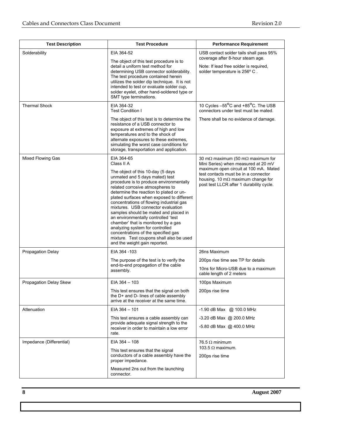| <b>Test Description</b>               | <b>Test Procedure</b>                                                                                                                                                                                                                                                                                                                                                                                                                                                                                                                                                                                                                  | <b>Performance Requirement</b>                                                                                                                                                                                                                                    |
|---------------------------------------|----------------------------------------------------------------------------------------------------------------------------------------------------------------------------------------------------------------------------------------------------------------------------------------------------------------------------------------------------------------------------------------------------------------------------------------------------------------------------------------------------------------------------------------------------------------------------------------------------------------------------------------|-------------------------------------------------------------------------------------------------------------------------------------------------------------------------------------------------------------------------------------------------------------------|
| Solderability<br><b>Thermal Shock</b> | EIA 364-52<br>The object of this test procedure is to<br>detail a uniform test method for<br>determining USB connector solderability.<br>The test procedure contained herein<br>utilizes the solder dip technique. It is not<br>intended to test or evaluate solder cup,<br>solder eyelet, other hand-soldered type or<br>SMT type terminations.<br>EIA 364-32                                                                                                                                                                                                                                                                         | USB contact solder tails shall pass 95%<br>coverage after 8-hour steam age.<br>Note: If lead free solder is required,<br>solder temperature is 256° C.<br>10 Cycles -55°C and +85°C. The USB                                                                      |
|                                       | <b>Test Condition I</b><br>The object of this test is to determine the<br>resistance of a USB connector to<br>exposure at extremes of high and low<br>temperatures and to the shock of<br>alternate exposures to these extremes,<br>simulating the worst case conditions for<br>storage, transportation and application.                                                                                                                                                                                                                                                                                                               | connectors under test must be mated.<br>There shall be no evidence of damage.                                                                                                                                                                                     |
| <b>Mixed Flowing Gas</b>              | EIA 364-65<br>Class II A<br>The object of this 10-day (5 days<br>unmated and 5 days mated) test<br>procedure is to produce environmentally<br>related corrosive atmospheres to<br>determine the reaction to plated or un-<br>plated surfaces when exposed to different<br>concentrations of flowing industrial gas<br>mixtures. USB connector evaluation<br>samples should be mated and placed in<br>an environmentally controlled 'test<br>chamber' that is monitored by a gas<br>analyzing system for controlled<br>concentrations of the specified gas<br>mixture. Test coupons shall also be used<br>and the weight gain reported. | 30 m $\Omega$ maximum (50 m $\Omega$ maximum for<br>Mini Series) when measured at 20 mV<br>maximum open circuit at 100 mA. Mated<br>test contacts must be in a connector<br>housing. 10 m $\Omega$ maximum change for<br>post test LLCR after 1 durability cycle. |
| Propagation Delay                     | EIA 364 - 103<br>The purpose of the test is to verify the<br>end-to-end propagation of the cable<br>assembly.                                                                                                                                                                                                                                                                                                                                                                                                                                                                                                                          | 26ns Maximum<br>200ps rise time see TP for details<br>10ns for Micro-USB due to a maximum<br>cable length of 2 meters                                                                                                                                             |
| Propagation Delay Skew                | EIA 364 - 103<br>This test ensures that the signal on both<br>the D+ and D- lines of cable assembly<br>arrive at the receiver at the same time.                                                                                                                                                                                                                                                                                                                                                                                                                                                                                        | 100ps Maximum<br>200ps rise time                                                                                                                                                                                                                                  |
| Attenuation                           | $EIA$ 364 $-$ 101<br>This test ensures a cable assembly can<br>provide adequate signal strength to the<br>receiver in order to maintain a low error<br>rate.                                                                                                                                                                                                                                                                                                                                                                                                                                                                           | $-1.90$ dB Max @ 100.0 MHz<br>-3.20 dB Max @ 200.0 MHz<br>-5.80 dB Max @ 400.0 MHz                                                                                                                                                                                |
| Impedance (Differential)              | $EIA$ 364 $-$ 108<br>This test ensures that the signal<br>conductors of a cable assembly have the<br>proper impedance.<br>Measured 2ns out from the launching<br>connector.                                                                                                                                                                                                                                                                                                                                                                                                                                                            | 76.5 $\Omega$ minimum<br>103.5 $\Omega$ maximum.<br>200ps rise time                                                                                                                                                                                               |

**8 August 2007**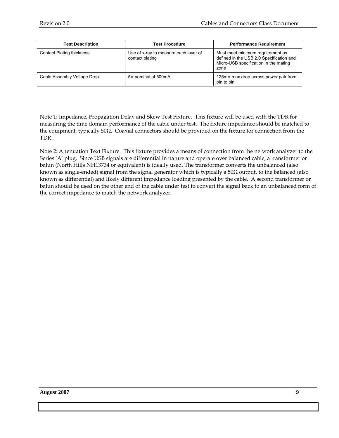| <b>Test Description</b>          | <b>Test Procedure</b>                                    | <b>Performance Requirement</b>                                                                                                |
|----------------------------------|----------------------------------------------------------|-------------------------------------------------------------------------------------------------------------------------------|
| <b>Contact Plating thickness</b> | Use of x-ray to measure each layer of<br>contact plating | Must meet minimum requirement as<br>defined in the USB 2.0 Specification and<br>Micro-USB specification in the mating<br>zone |
| Cable Assembly Voltage Drop      | 5V nominal at 500mA.                                     | 125mV max drop across power pair from<br>pin to pin                                                                           |

Note 1: Impedance, Propagation Delay and Skew Test Fixture. This fixture will be used with the TDR for measuring the time domain performance of the cable under test. The fixture impedance should be matched to the equipment, typically 50Ω. Coaxial connectors should be provided on the fixture for connection from the TDR.

Note 2: Attenuation Text Fixture. This fixture provides a means of connection from the network analyzer to the Series 'A' plug. Since USB signals are differential in nature and operate over balanced cable, a transformer or balun (North Hills NH13734 or equivalent) is ideally used. The transformer converts the unbalanced (also known as single-ended) signal from the signal generator which is typically a 50Ω output, to the balanced (also known as differential) and likely different impedance loading presented by the cable. A second transformer or balun should be used on the other end of the cable under test to convert the signal back to an unbalanced form of the correct impedance to match the network analyzer.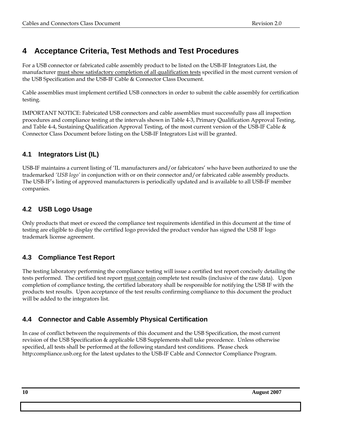# **4 Acceptance Criteria, Test Methods and Test Procedures**

For a USB connector or fabricated cable assembly product to be listed on the USB-IF Integrators List, the manufacturer must show satisfactory completion of all qualification tests specified in the most current version of the USB Specification and the USB-IF Cable & Connector Class Document.

Cable assemblies must implement certified USB connectors in order to submit the cable assembly for certification testing.

IMPORTANT NOTICE: Fabricated USB connectors and cable assemblies must successfully pass all inspection procedures and compliance testing at the intervals shown in Table 4-3, Primary Qualification Approval Testing, and Table 4-4, Sustaining Qualification Approval Testing, of the most current version of the USB-IF Cable & Connector Class Document before listing on the USB-IF Integrators List will be granted.

## **4.1 Integrators List (IL)**

USB-IF maintains a current listing of 'IL manufacturers and/or fabricators' who have been authorized to use the trademarked *'USB logo'* in conjunction with or on their connector and/or fabricated cable assembly products. The USB-IF's listing of approved manufacturers is periodically updated and is available to all USB-IF member companies.

## **4.2 USB Logo Usage**

Only products that meet or exceed the compliance test requirements identified in this document at the time of testing are eligible to display the certified logo provided the product vendor has signed the USB IF logo trademark license agreement.

## **4.3 Compliance Test Report**

The testing laboratory performing the compliance testing will issue a certified test report concisely detailing the tests performed. The certified test report must contain complete test results (inclusive of the raw data). Upon completion of compliance testing, the certified laboratory shall be responsible for notifying the USB IF with the products test results. Upon acceptance of the test results confirming compliance to this document the product will be added to the integrators list.

## **4.4 Connector and Cable Assembly Physical Certification**

In case of conflict between the requirements of this document and the USB Specification, the most current revision of the USB Specification & applicable USB Supplements shall take precedence. Unless otherwise specified, all tests shall be performed at the following standard test conditions. Please check http:compliance.usb.org for the latest updates to the USB-IF Cable and Connector Compliance Program.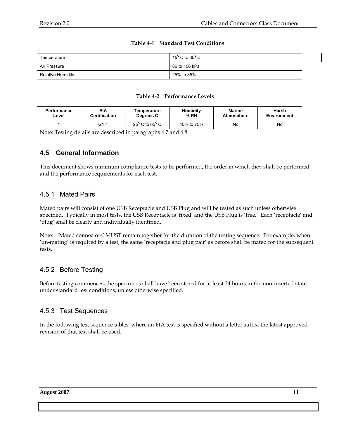#### **Table 4-1 Standard Test Conditions**

| Temperature       | 15 $^{\circ}$ C to 35 $^{\circ}$ C |
|-------------------|------------------------------------|
| Air Pressure      | 86 to 106 kPa                      |
| Relative Humidity | 25% to 85%                         |

#### **Table 4-2 Performance Levels**

| <b>Performance</b> | EIA                  | Temperature                       | <b>Humidity</b> | Marine            | Harsh              |
|--------------------|----------------------|-----------------------------------|-----------------|-------------------|--------------------|
| Level              | <b>Certification</b> | Degrees C                         | % RH            | <b>Atmosphere</b> | <b>Environment</b> |
|                    | G1.1                 | $25^{\sf o}$ C to 65 $^{\sf o}$ C | 40% to 75%      | No                | No                 |

Note: Testing details are described in paragraphs 4.7 and 4.8.

#### **4.5 General Information**

This document shows minimum compliance tests to be performed, the order in which they shall be performed and the performance requirements for each test.

#### 4.5.1 Mated Pairs

Mated pairs will consist of one USB Receptacle and USB Plug and will be tested as such unless otherwise specified. Typically in most tests, the USB Receptacle is 'fixed' and the USB Plug is 'free.' Each 'receptacle' and 'plug' shall be clearly and individually identified.

Note: 'Mated connectors' MUST remain together for the duration of the testing sequence. For example, when 'un-mating' is required by a test, the same 'receptacle and plug pair' as before shall be mated for the subsequent tests.

#### 4.5.2 Before Testing

Before testing commences, the specimens shall have been stored for at least 24 hours in the non-inserted state under standard test conditions, unless otherwise specified.

#### 4.5.3 Test Sequences

In the following test sequence tables, where an EIA test is specified without a letter suffix, the latest approved revision of that test shall be used.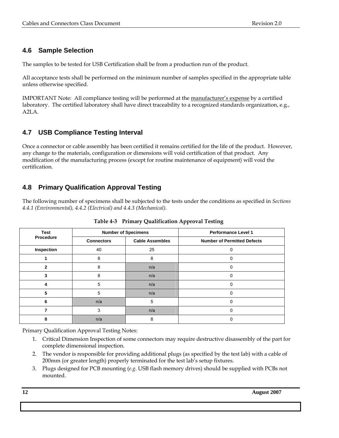## **4.6 Sample Selection**

The samples to be tested for USB Certification shall be from a production run of the product.

All acceptance tests shall be performed on the minimum number of samples specified in the appropriate table unless otherwise specified.

IMPORTANT Note: All compliance testing will be performed at the manufacturer's expense by a certified laboratory. The certified laboratory shall have direct traceability to a recognized standards organization, e.g., A2LA.

## **4.7 USB Compliance Testing Interval**

Once a connector or cable assembly has been certified it remains certified for the life of the product. However, any change to the materials, configuration or dimensions will void certification of that product. Any modification of the manufacturing process (except for routine maintenance of equipment) will void the certification.

## **4.8 Primary Qualification Approval Testing**

The following number of specimens shall be subjected to the tests under the conditions as specified in *Sections 4.4.1 (Environmental), 4.4.2 (Electrical) and 4.4.3 (Mechanical).* 

| <b>Test</b>  |                                             | <b>Number of Specimens</b> | <b>Performance Level 1</b>         |  |  |  |  |
|--------------|---------------------------------------------|----------------------------|------------------------------------|--|--|--|--|
| Procedure    | <b>Cable Assembles</b><br><b>Connectors</b> |                            | <b>Number of Permitted Defects</b> |  |  |  |  |
| Inspection   | 40                                          | 25                         | n                                  |  |  |  |  |
|              | 8                                           | 8                          | 0                                  |  |  |  |  |
| $\mathbf{2}$ | 8                                           | n/a                        | 0                                  |  |  |  |  |
|              | 8                                           | n/a                        | 0                                  |  |  |  |  |
| 4            | 5                                           | n/a                        | O                                  |  |  |  |  |
| 5            | 5                                           | n/a                        | 0                                  |  |  |  |  |
| 6            | n/a                                         | 5                          | O                                  |  |  |  |  |
|              | 3                                           | n/a                        | n                                  |  |  |  |  |
| 8            | n/a                                         | 8                          | 0                                  |  |  |  |  |

 **Table 4-3 Primary Qualification Approval Testing** 

Primary Qualification Approval Testing Notes:

- 1. Critical Dimension Inspection of some connectors may require destructive disassembly of the part for complete dimensional inspection.
- 2. The vendor is responsible for providing additional plugs (as specified by the test lab) with a cable of 200mm (or greater length) properly terminated for the test lab's setup fixtures.
- 3. Plugs designed for PCB mounting (*e.g.* USB flash memory drives) should be supplied with PCBs not mounted.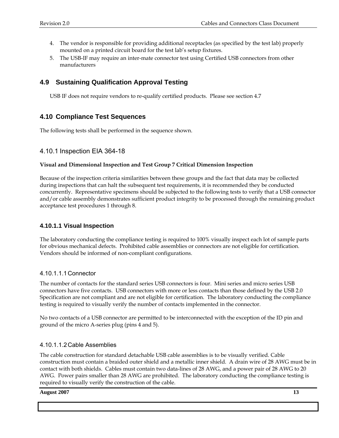- 4. The vendor is responsible for providing additional receptacles (as specified by the test lab) properly mounted on a printed circuit board for the test lab's setup fixtures.
- 5. The USB-IF may require an inter-mate connector test using Certified USB connectors from other manufacturers

#### **4.9 Sustaining Qualification Approval Testing**

USB IF does not require vendors to re-qualify certified products. Please see section 4.7

#### **4.10 Compliance Test Sequences**

The following tests shall be performed in the sequence shown.

#### 4.10.1 Inspection EIA 364-18

#### **Visual and Dimensional Inspection and Test Group 7 Critical Dimension Inspection**

Because of the inspection criteria similarities between these groups and the fact that data may be collected during inspections that can halt the subsequent test requirements, it is recommended they be conducted concurrently. Representative specimens should be subjected to the following tests to verify that a USB connector and/or cable assembly demonstrates sufficient product integrity to be processed through the remaining product acceptance test procedures 1 through 8.

#### **4.10.1.1 Visual Inspection**

The laboratory conducting the compliance testing is required to 100% visually inspect each lot of sample parts for obvious mechanical defects. Prohibited cable assemblies or connectors are not eligible for certification. Vendors should be informed of non-compliant configurations.

#### 4.10.1.1.1 Connector

The number of contacts for the standard series USB connectors is four. Mini series and micro series USB connectors have five contacts. USB connectors with more or less contacts than those defined by the USB 2.0 Specification are not compliant and are not eligible for certification. The laboratory conducting the compliance testing is required to visually verify the number of contacts implemented in the connector.

No two contacts of a USB connector are permitted to be interconnected with the exception of the ID pin and ground of the micro A-series plug (pins 4 and 5).

#### 4.10.1.1.2 Cable Assemblies

The cable construction for standard detachable USB cable assemblies is to be visually verified. Cable construction must contain a braided outer shield and a metallic inner shield. A drain wire of 28 AWG must be in contact with both shields. Cables must contain two data-lines of 28 AWG, and a power pair of 28 AWG to 20 AWG. Power pairs smaller than 28 AWG are prohibited. The laboratory conducting the compliance testing is required to visually verify the construction of the cable.

#### **August 2007** 13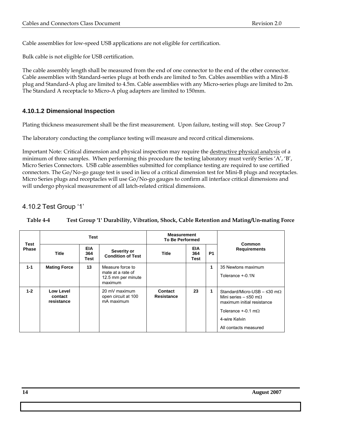Cable assemblies for low-speed USB applications are not eligible for certification.

Bulk cable is not eligible for USB certification.

The cable assembly length shall be measured from the end of one connector to the end of the other connector. Cable assemblies with Standard-series plugs at both ends are limited to 5m. Cables assemblies with a Mini-B plug and Standard-A plug are limited to 4.5m. Cable assemblies with any Micro-series plugs are limited to 2m. The Standard A receptacle to Micro-A plug adapters are limited to 150mm.

#### **4.10.1.2 Dimensional Inspection**

Plating thickness measurement shall be the first measurement. Upon failure, testing will stop. See Group 7

The laboratory conducting the compliance testing will measure and record critical dimensions.

Important Note: Critical dimension and physical inspection may require the destructive physical analysis of a minimum of three samples. When performing this procedure the testing laboratory must verify Series 'A', 'B', Micro Series Connectors. USB cable assemblies submitted for compliance testing are required to use certified connectors. The Go/No-go gauge test is used in lieu of a critical dimension test for Mini-B plugs and receptacles. Micro Series plugs and receptacles will use Go/No-go gauges to confirm all interface critical dimensions and will undergo physical measurement of all latch-related critical dimensions.

#### 4.10.2 Test Group '1'

| <b>Table 4-4</b> | Test Group '1' Durability, Vibration, Shock, Cable Retention and Mating/Un-mating Force |
|------------------|-----------------------------------------------------------------------------------------|
|------------------|-----------------------------------------------------------------------------------------|

| Test<br><b>Phase</b> | <b>Test</b>                        |                           |                                                                        | <b>Measurement</b><br><b>To Be Performed</b> |                           |                | Common                                                                                                                                                                               |
|----------------------|------------------------------------|---------------------------|------------------------------------------------------------------------|----------------------------------------------|---------------------------|----------------|--------------------------------------------------------------------------------------------------------------------------------------------------------------------------------------|
|                      | <b>Title</b>                       | <b>EIA</b><br>364<br>Test | Severity or<br><b>Condition of Test</b>                                | Title                                        | <b>EIA</b><br>364<br>Test | P <sub>1</sub> | <b>Requirements</b>                                                                                                                                                                  |
| $1 - 1$              | <b>Mating Force</b>                | 13                        | Measure force to<br>mate at a rate of<br>12.5 mm per minute<br>maximum |                                              |                           | 1              | 35 Newtons maximum<br>Tolerance +-0.1N                                                                                                                                               |
| $1 - 2$              | Low Level<br>contact<br>resistance |                           | 20 mV maximum<br>open circuit at 100<br>mA maximum                     | Contact<br>Resistance                        | 23                        | 1              | Standard/Micro-USB $-$ ≤30 m $\Omega$<br>Mini series $-$ ≤50 m $\Omega$<br>maximum initial resistance<br>Tolerance $+.0.1 \text{ m}\Omega$<br>4-wire Kelvin<br>All contacts measured |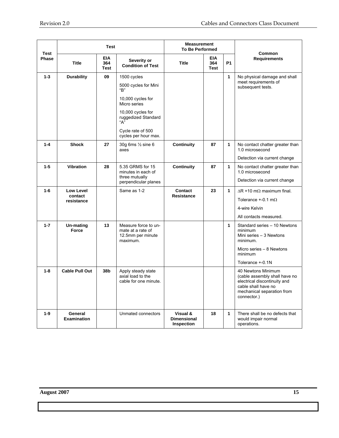| Test    | <b>Test</b>                               |                                  | <b>Measurement</b><br><b>To Be Performed</b>                                                                                                                                    |                                                     |                                  |              |                                                                                                                                                         |
|---------|-------------------------------------------|----------------------------------|---------------------------------------------------------------------------------------------------------------------------------------------------------------------------------|-----------------------------------------------------|----------------------------------|--------------|---------------------------------------------------------------------------------------------------------------------------------------------------------|
| Phase   | <b>Title</b>                              | <b>EIA</b><br>364<br><b>Test</b> | Severity or<br><b>Condition of Test</b>                                                                                                                                         | <b>Title</b>                                        | <b>EIA</b><br>364<br><b>Test</b> | <b>P1</b>    | Common<br><b>Requirements</b>                                                                                                                           |
| $1 - 3$ | <b>Durability</b>                         | 09                               | 1500 cycles<br>5000 cycles for Mini<br>"B"<br>10,000 cycles for<br>Micro series<br>10,000 cycles for<br>ruggedized Standard<br>"А"<br>Cycle rate of 500<br>cycles per hour max. |                                                     |                                  | $\mathbf{1}$ | No physical damage and shall<br>meet requirements of<br>subsequent tests.                                                                               |
| $1 - 4$ | <b>Shock</b>                              | 27                               | 30g 6ms 1/2 sine 6<br>axes                                                                                                                                                      | Continuity                                          | 87                               | 1            | No contact chatter greater than<br>1.0 microsecond<br>Detection via current change                                                                      |
| $1 - 5$ | <b>Vibration</b>                          | 28                               | 5.35 GRMS for 15<br>minutes in each of<br>three mutually<br>perpendicular planes                                                                                                | Continuity                                          | 87                               | 1            | No contact chatter greater than<br>1.0 microsecond<br>Detection via current change                                                                      |
| $1-6$   | <b>Low Level</b><br>contact<br>resistance |                                  | Same as 1-2                                                                                                                                                                     | Contact<br><b>Resistance</b>                        | 23                               | 1            | $\Delta$ R +10 m $\Omega$ maximum final.<br>Tolerance $+ -0.1$ m $\Omega$<br>4-wire Kelvin<br>All contacts measured.                                    |
| $1 - 7$ | Un-mating<br><b>Force</b>                 | 13                               | Measure force to un-<br>mate at a rate of<br>12.5mm per minute<br>maximum.                                                                                                      |                                                     |                                  | 1            | Standard series - 10 Newtons<br>minimum<br>Mini series - 3 Newtons<br>minimum.<br>Micro series - 8 Newtons<br>minimum<br>Tolerance +-0.1N               |
| $1 - 8$ | <b>Cable Pull Out</b>                     | 38b                              | Apply steady state<br>axial load to the<br>cable for one minute.                                                                                                                |                                                     |                                  |              | 40 Newtons Minimum<br>(cable assembly shall have no<br>electrical discontinuity and<br>cable shall have no<br>mechanical separation from<br>connector.) |
| $1 - 9$ | General<br><b>Examination</b>             |                                  | Unmated connectors                                                                                                                                                              | Visual &<br><b>Dimensional</b><br><b>Inspection</b> | 18                               | $\mathbf{1}$ | There shall be no defects that<br>would impair normal<br>operations.                                                                                    |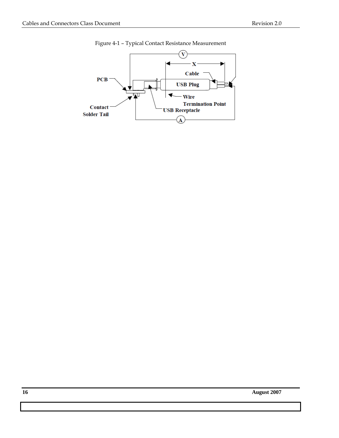

Figure 4-1 – Typical Contact Resistance Measurement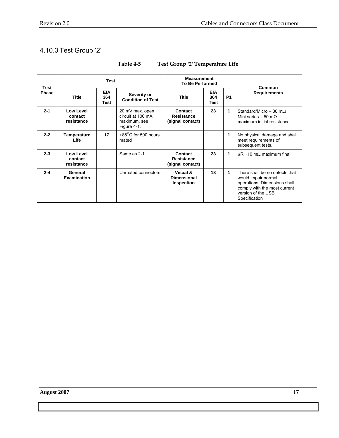# 4.10.3 Test Group '2'

| Test         | <b>Test</b>                                                                          |              |                                                                     | <b>Measurement</b><br><b>To Be Performed</b>        |                     |   | Common                                                                                                                                                       |
|--------------|--------------------------------------------------------------------------------------|--------------|---------------------------------------------------------------------|-----------------------------------------------------|---------------------|---|--------------------------------------------------------------------------------------------------------------------------------------------------------------|
| <b>Phase</b> | <b>EIA</b><br>Severity or<br><b>Title</b><br>364<br><b>Condition of Test</b><br>Test | <b>Title</b> | <b>EIA</b><br>364<br><b>Test</b>                                    | <b>P1</b>                                           | <b>Requirements</b> |   |                                                                                                                                                              |
| $2 - 1$      | Low Level<br>contact<br>resistance                                                   |              | 20 mV max. open<br>circuit at 100 mA<br>maximum, see<br>Figure 4-1. | Contact<br><b>Resistance</b><br>(signal contact)    | 23                  | 1 | Standard/Micro - 30 m $\Omega$<br>Mini series - 50 m $\Omega$<br>maximum initial resistance.                                                                 |
| $2 - 2$      | Temperature<br>Life                                                                  | 17           | +85°C for 500 hours<br>mated                                        |                                                     |                     | 1 | No physical damage and shall<br>meet requirements of<br>subsequent tests.                                                                                    |
| $2 - 3$      | Low Level<br>contact<br>resistance                                                   |              | Same as 2-1                                                         | Contact<br>Resistance<br>(signal contact)           | 23                  | 1 | $AR + 10$ m $\Omega$ maximum final.                                                                                                                          |
| $2 - 4$      | General<br><b>Examination</b>                                                        |              | Unmated connectors                                                  | Visual &<br><b>Dimensional</b><br><b>Inspection</b> | 18                  | 1 | There shall be no defects that<br>would impair normal<br>operations. Dimensions shall<br>comply with the most current<br>version of the USB<br>Specification |

## **Table 4-5 Test Group '2' Temperature Life**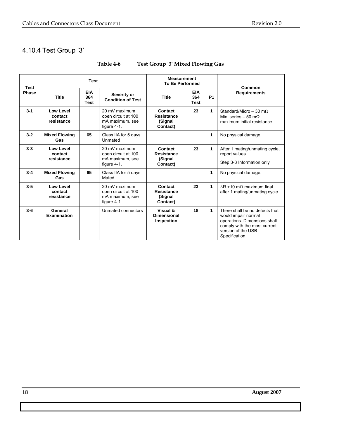# 4.10.4 Test Group '3'

| Test         | <b>Test</b>                        |                                  |                                                                           | <b>Measurement</b><br><b>To Be Performed</b>        |                                  |           |                                                                                                                                                              |
|--------------|------------------------------------|----------------------------------|---------------------------------------------------------------------------|-----------------------------------------------------|----------------------------------|-----------|--------------------------------------------------------------------------------------------------------------------------------------------------------------|
| <b>Phase</b> | <b>Title</b>                       | <b>EIA</b><br>364<br><b>Test</b> | Severity or<br><b>Condition of Test</b>                                   | <b>Title</b>                                        | <b>EIA</b><br>364<br><b>Test</b> | <b>P1</b> | Common<br><b>Requirements</b>                                                                                                                                |
| $3 - 1$      | Low Level<br>contact<br>resistance |                                  | 20 mV maximum<br>open circuit at 100<br>mA maximum, see<br>figure $4-1$ . | Contact<br><b>Resistance</b><br>(Signal<br>Contact) | 23                               | 1         | Standard/Micro - 30 m $\Omega$<br>Mini series – 50 m $\Omega$<br>maximum initial resistance.                                                                 |
| $3 - 2$      | <b>Mixed Flowing</b><br><b>Gas</b> | 65                               | Class IIA for 5 days<br>Unmated                                           |                                                     |                                  | 1         | No physical damage.                                                                                                                                          |
| $3-3$        | Low Level<br>contact<br>resistance |                                  | 20 mV maximum<br>open circuit at 100<br>mA maximum, see<br>figure 4-1.    | Contact<br><b>Resistance</b><br>(Signal<br>Contact) | 23                               | 1         | After 1 mating/unmating cycle,<br>report values.<br>Step 3-3 Information only                                                                                |
| $3 - 4$      | <b>Mixed Flowing</b><br>Gas        | 65                               | Class IIA for 5 days<br>Mated                                             |                                                     |                                  | 1         | No physical damage.                                                                                                                                          |
| $3-5$        | Low Level<br>contact<br>resistance |                                  | 20 mV maximum<br>open circuit at 100<br>mA maximum, see<br>figure $4-1$ . | Contact<br><b>Resistance</b><br>(Signal<br>Contact) | 23                               | 1         | $AR + 10 \text{ m}\Omega$ maximum final<br>after 1 mating/unmating cycle.                                                                                    |
| $3-6$        | General<br><b>Examination</b>      |                                  | Unmated connectors                                                        | Visual &<br><b>Dimensional</b><br>Inspection        | 18                               | 1         | There shall be no defects that<br>would impair normal<br>operations. Dimensions shall<br>comply with the most current<br>version of the USB<br>Specification |

#### **Table 4-6 Test Group '3' Mixed Flowing Gas**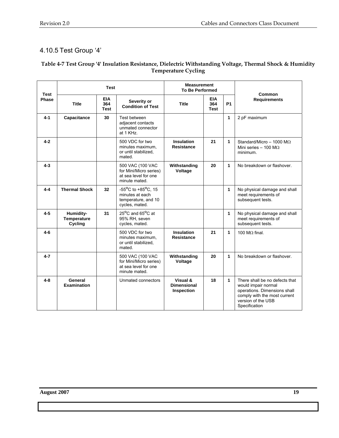# 4.10.5 Test Group '4'

#### **Table 4-7 Test Group '4' Insulation Resistance, Dielectric Withstanding Voltage, Thermal Shock & Humidity Temperature Cycling**

| <b>Test</b> |                                     | <b>Test</b> |                                                                                                    | <b>Measurement</b><br><b>To Be Performed</b>      |                                  |                                                                              | Common                                                                                                                                                       |
|-------------|-------------------------------------|-------------|----------------------------------------------------------------------------------------------------|---------------------------------------------------|----------------------------------|------------------------------------------------------------------------------|--------------------------------------------------------------------------------------------------------------------------------------------------------------|
| Phase       | EIA<br><b>Title</b><br>364<br>Test  |             | Severity or<br><b>Condition of Test</b>                                                            | <b>Title</b>                                      | <b>EIA</b><br>364<br><b>Test</b> | <b>P1</b>                                                                    | <b>Requirements</b>                                                                                                                                          |
| $4 - 1$     | Capacitance                         | 30          | Test between<br>adjacent contacts<br>unmated connector<br>at 1 KHz.                                |                                                   |                                  | 1                                                                            | 2 pF maximum                                                                                                                                                 |
| $4 - 2$     |                                     |             | 500 VDC for two<br>minutes maximum,<br>or until stabilized.<br>mated.                              | 1<br><b>Insulation</b><br>21<br><b>Resistance</b> |                                  | Standard/Micro - 1000 M $\Omega$<br>Mini series - 100 M $\Omega$<br>minimum. |                                                                                                                                                              |
| $4 - 3$     |                                     |             | 500 VAC (100 VAC<br>for Mini/Micro series)<br>at sea level for one<br>minute mated.                | 1<br>Withstanding<br>20<br>Voltage                |                                  |                                                                              | No breakdown or flashover.                                                                                                                                   |
| 4-4         | <b>Thermal Shock</b>                | 32          | $-55^{\circ}$ C to $+85^{\circ}$ C, 15<br>minutes at each<br>temperature, and 10<br>cycles, mated. |                                                   |                                  | 1                                                                            | No physical damage and shall<br>meet requirements of<br>subsequent tests.                                                                                    |
| $4 - 5$     | Humidity-<br>Temperature<br>Cycling | 31          | 25°C and 65°C at<br>95% RH, seven<br>cycles, mated.                                                |                                                   |                                  | 1                                                                            | No physical damage and shall<br>meet requirements of<br>subsequent tests.                                                                                    |
| $4 - 6$     |                                     |             | 500 VDC for two<br>minutes maximum.<br>or until stabilized.<br>mated.                              | <b>Insulation</b><br><b>Resistance</b>            | 21                               | $\mathbf{1}$                                                                 | 100 M $\Omega$ final.                                                                                                                                        |
| $4 - 7$     |                                     |             | 500 VAC (100 VAC<br>for Mini/Micro series)<br>at sea level for one<br>minute mated.                | Withstanding<br>Voltage                           | 1<br>20                          |                                                                              | No breakdown or flashover.                                                                                                                                   |
| $4 - 8$     | General<br><b>Examination</b>       |             | Unmated connectors                                                                                 | Visual &<br><b>Dimensional</b><br>Inspection      | 18                               | 1                                                                            | There shall be no defects that<br>would impair normal<br>operations. Dimensions shall<br>comply with the most current<br>version of the USB<br>Specification |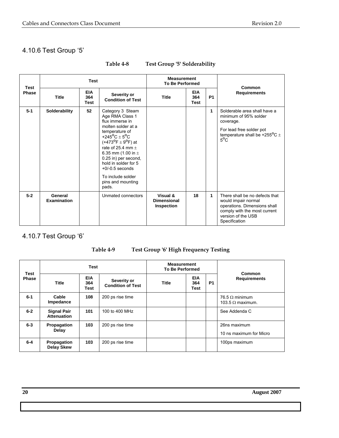# 4.10.6 Test Group '5'

| <b>Test</b>  |                        | <b>Measurement</b><br><b>To Be Performed</b> |                                                                                                                                                                                                                                                                                                                                                                       | Common                                              |                                  |           |                                                                                                                                                                   |
|--------------|------------------------|----------------------------------------------|-----------------------------------------------------------------------------------------------------------------------------------------------------------------------------------------------------------------------------------------------------------------------------------------------------------------------------------------------------------------------|-----------------------------------------------------|----------------------------------|-----------|-------------------------------------------------------------------------------------------------------------------------------------------------------------------|
| <b>Phase</b> | <b>Title</b>           | <b>EIA</b><br>364<br>Test                    | Severity or<br><b>Condition of Test</b>                                                                                                                                                                                                                                                                                                                               | <b>Title</b>                                        | <b>EIA</b><br>364<br><b>Test</b> | <b>P1</b> | <b>Requirements</b>                                                                                                                                               |
| $5 - 1$      | Solderability          | 52                                           | Category 3 Steam<br>Age RMA Class 1<br>flux immerse in<br>molten solder at a<br>temperature of<br>+245 <sup>o</sup> C + 5 <sup>o</sup> C<br>(+473 <sup>o</sup> F $\pm$ 9 <sup>o</sup> F) at<br>rate of 25.4 mm $+$<br>6.35 mm (1.00 in $\pm$<br>0.25 in) per second,<br>hold in solder for 5<br>$+0$ /-0.5 seconds<br>To include solder<br>pins and mounting<br>pads. |                                                     |                                  | 1         | Solderable area shall have a<br>minimum of 95% solder<br>coverage.<br>For lead free solder pot<br>temperature shall be +255 $\mathrm{^0C}$ $\pm$<br>$5^{\circ}$ C |
| $5-2$        | General<br>Examination |                                              | Unmated connectors                                                                                                                                                                                                                                                                                                                                                    | Visual &<br><b>Dimensional</b><br><b>Inspection</b> | 18                               | 1         | There shall be no defects that<br>would impair normal<br>operations. Dimensions shall<br>comply with the most current<br>version of the USB<br>Specification      |

#### **Table 4-8 Test Group '5' Solderability**

# 4.10.7 Test Group '6'

# **Table 4-9 Test Group '6' High Frequency Testing**

| <b>Test</b><br><b>Phase</b> |                                           | <b>Test</b> |                                                | <b>Measurement</b><br><b>To Be Performed</b> |                                  | <b>Common</b>  |                                                  |
|-----------------------------|-------------------------------------------|-------------|------------------------------------------------|----------------------------------------------|----------------------------------|----------------|--------------------------------------------------|
|                             | <b>EIA</b><br><b>Title</b><br>364<br>Test |             | <b>Severity or</b><br><b>Condition of Test</b> | <b>Title</b>                                 | <b>EIA</b><br>364<br><b>Test</b> | P <sub>1</sub> | <b>Requirements</b>                              |
| $6 - 1$                     | Cable<br>Impedance                        | 108         | 200 ps rise time                               |                                              |                                  |                | 76.5 $\Omega$ minimum<br>103.5 $\Omega$ maximum. |
| $6-2$                       | <b>Signal Pair</b><br><b>Attenuation</b>  | 101         | 100 to 400 MHz                                 |                                              |                                  |                | See Addenda C                                    |
| $6 - 3$                     | Propagation<br>Delay                      | 103         | 200 ps rise time                               |                                              |                                  |                | 26ns maximum<br>10 ns maximum for Micro          |
| $6-4$                       | Propagation<br><b>Delay Skew</b>          | 103         | 200 ps rise time                               |                                              |                                  |                | 100ps maximum                                    |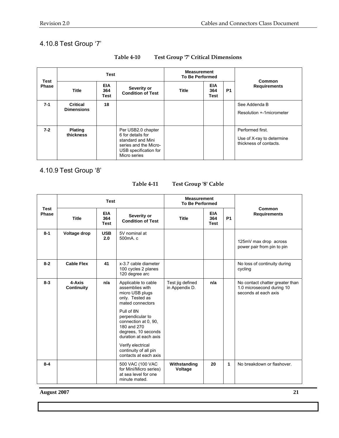# 4.10.8 Test Group '7'

| Test<br><b>Phase</b> |                                                                                                                                                               | Test | <b>Measurement</b><br><b>To Be Performed</b> |              | <b>Common</b>             |                                                                         |                                           |
|----------------------|---------------------------------------------------------------------------------------------------------------------------------------------------------------|------|----------------------------------------------|--------------|---------------------------|-------------------------------------------------------------------------|-------------------------------------------|
|                      | <b>EIA</b><br><b>Title</b><br>364<br>Test                                                                                                                     |      | Severity or<br><b>Condition of Test</b>      | <b>Title</b> | <b>EIA</b><br>364<br>Test | P <sub>1</sub>                                                          | <b>Requirements</b>                       |
| $7 - 1$              | <b>Critical</b><br><b>Dimensions</b>                                                                                                                          | 18   |                                              |              |                           |                                                                         | See Addenda B<br>Resolution +-1micrometer |
| $7 - 2$              | <b>Plating</b><br>Per USB2.0 chapter<br>thickness<br>6 for details for<br>standard and Mini<br>series and the Micro-<br>USB specification for<br>Micro series |      |                                              |              |                           | Performed first.<br>Use of X-ray to determine<br>thickness of contacts. |                                           |

#### **Table 4-10 Test Group '7' Critical Dimensions**

4.10.9 Test Group '8'

Test Group '8' Cable

|                      |                                                                                     | <b>Test</b>       | <b>Measurement</b><br><b>To Be Performed</b>                                                                          |                                    | Common                                  |                            |                                                                                      |  |
|----------------------|-------------------------------------------------------------------------------------|-------------------|-----------------------------------------------------------------------------------------------------------------------|------------------------------------|-----------------------------------------|----------------------------|--------------------------------------------------------------------------------------|--|
| <b>Test</b><br>Phase | <b>EIA</b><br><b>Title</b><br>364<br><b>Test</b>                                    |                   | Severity or<br><b>Condition of Test</b>                                                                               | <b>Title</b>                       | <b>EIA</b><br>364<br><b>Test</b>        | <b>P1</b>                  | <b>Requirements</b>                                                                  |  |
| $8 - 1$              | Voltage drop                                                                        | <b>USB</b><br>2.0 | 5V nominal at<br>500mA.c                                                                                              |                                    |                                         |                            | 125mV max drop across<br>power pair from pin to pin                                  |  |
| $8 - 2$              | <b>Cable Flex</b>                                                                   | 41                | x-3.7 cable diameter<br>100 cycles 2 planes<br>120 degree arc                                                         |                                    | No loss of continuity during<br>cycling |                            |                                                                                      |  |
| $8 - 3$              | 4-Axis<br>n/a<br>Continuity                                                         |                   | Applicable to cable<br>assemblies with<br>micro USB plugs<br>only. Tested as<br>mated connectors                      | Test jig defined<br>in Appendix D. | n/a                                     |                            | No contact chatter greater than<br>1.0 microsecond during 10<br>seconds at each axis |  |
|                      |                                                                                     |                   | Pull of 8N<br>perpendicular to<br>connection at 0, 90,<br>180 and 270<br>degrees, 10 seconds<br>duration at each axis |                                    |                                         |                            |                                                                                      |  |
|                      |                                                                                     |                   | Verify electrical<br>continuity of all pin<br>contacts at each axis                                                   |                                    |                                         |                            |                                                                                      |  |
| $8 - 4$              | 500 VAC (100 VAC<br>for Mini/Micro series)<br>at sea level for one<br>minute mated. |                   | Withstanding<br>Voltage                                                                                               | 20                                 | $\mathbf{1}$                            | No breakdown or flashover. |                                                                                      |  |

**August 2007 21**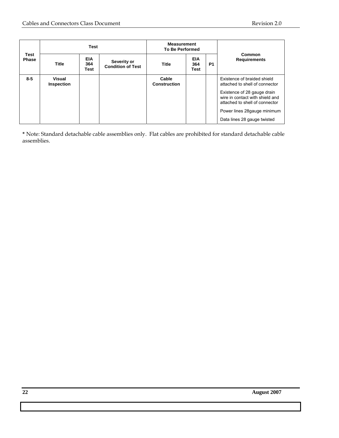| Test<br><b>Phase</b> |                      | <b>Test</b>               |                                         | <b>Measurement</b><br><b>To Be Performed</b> |                           |                                                            |                                                                                                                                                                   |
|----------------------|----------------------|---------------------------|-----------------------------------------|----------------------------------------------|---------------------------|------------------------------------------------------------|-------------------------------------------------------------------------------------------------------------------------------------------------------------------|
|                      | Title                | <b>EIA</b><br>364<br>Test | Severity or<br><b>Condition of Test</b> | Title                                        | <b>EIA</b><br>364<br>Test | <b>P1</b>                                                  | Common<br><b>Requirements</b>                                                                                                                                     |
| $8 - 5$              | Visual<br>Inspection |                           |                                         | Cable<br><b>Construction</b>                 |                           |                                                            | Existence of braided shield<br>attached to shell of connector<br>Existence of 28 gauge drain<br>wire in contact with shield and<br>attached to shell of connector |
|                      |                      |                           |                                         |                                              |                           | Power lines 28gauge minimum<br>Data lines 28 gauge twisted |                                                                                                                                                                   |

**\*** Note: Standard detachable cable assemblies only. Flat cables are prohibited for standard detachable cable assemblies.

**22 August 2007**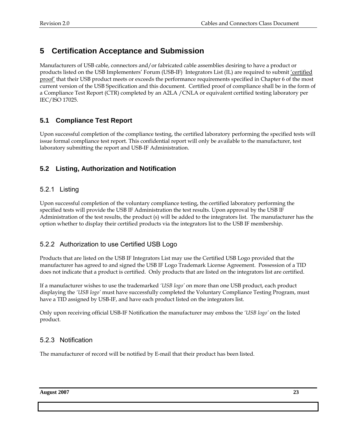# **5 Certification Acceptance and Submission**

Manufacturers of USB cable, connectors and/or fabricated cable assemblies desiring to have a product or products listed on the USB Implementers' Forum (USB-IF) Integrators List (IL) are required to submit 'certified proof' that their USB product meets or exceeds the performance requirements specified in Chapter 6 of the most current version of the USB Specification and this document. Certified proof of compliance shall be in the form of a Compliance Test Report (CTR) completed by an A2LA /CNLA or equivalent certified testing laboratory per IEC/ISO 17025.

## **5.1 Compliance Test Report**

Upon successful completion of the compliance testing, the certified laboratory performing the specified tests will issue formal compliance test report. This confidential report will only be available to the manufacturer, test laboratory submitting the report and USB-IF Administration.

#### **5.2 Listing, Authorization and Notification**

#### 5.2.1 Listing

Upon successful completion of the voluntary compliance testing, the certified laboratory performing the specified tests will provide the USB IF Administration the test results. Upon approval by the USB IF Administration of the test results, the product (s) will be added to the integrators list. The manufacturer has the option whether to display their certified products via the integrators list to the USB IF membership.

#### 5.2.2 Authorization to use Certified USB Logo

Products that are listed on the USB IF Integrators List may use the Certified USB Logo provided that the manufacturer has agreed to and signed the USB IF Logo Trademark License Agreement. Possession of a TID does not indicate that a product is certified. Only products that are listed on the integrators list are certified.

If a manufacturer wishes to use the trademarked *'USB logo'* on more than one USB product, each product displaying the *'USB logo'* must have successfully completed the Voluntary Compliance Testing Program, must have a TID assigned by USB-IF, and have each product listed on the integrators list.

Only upon receiving official USB-IF Notification the manufacturer may emboss the *'USB logo'* on the listed product.

#### 5.2.3 Notification

The manufacturer of record will be notified by E-mail that their product has been listed.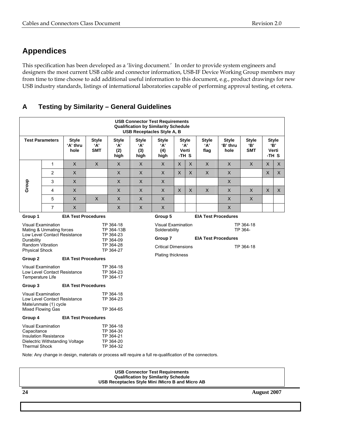# **Appendices**

This specification has been developed as a 'living document.' In order to provide system engineers and designers the most current USB cable and connector information, USB-IF Device Working Group members may from time to time choose to add additional useful information to this document, e.g., product drawings for new USB industry standards, listings of international laboratories capable of performing approval testing, et cetera.

#### **A Testing by Similarity – General Guidelines**

|                                                                                                                                                                   | <b>USB Connector Test Requirements</b><br><b>Qualification by Similarity Schedule</b><br><b>USB Receptacles Style A, B</b> |                                                                             |                                   |                                                               |                                    |                                                                                                                            |                |                                                             |                                        |                                  |                                   |                                           |              |
|-------------------------------------------------------------------------------------------------------------------------------------------------------------------|----------------------------------------------------------------------------------------------------------------------------|-----------------------------------------------------------------------------|-----------------------------------|---------------------------------------------------------------|------------------------------------|----------------------------------------------------------------------------------------------------------------------------|----------------|-------------------------------------------------------------|----------------------------------------|----------------------------------|-----------------------------------|-------------------------------------------|--------------|
|                                                                                                                                                                   | <b>Test Parameters</b><br><b>Style</b><br>'A' thru<br>hole                                                                 |                                                                             | <b>Style</b><br>'А'<br><b>SMT</b> | <b>Style</b><br>ʻA'<br>(2)<br>high                            | <b>Style</b><br>'A'<br>(3)<br>high | <b>Style</b><br>'A'<br>(4)<br>high                                                                                         |                | <b>Style</b><br>$^{\prime}$ A'<br>Verti<br>-TH <sub>S</sub> | <b>Style</b><br>'А'<br>flag            | <b>Style</b><br>'B' thru<br>hole | <b>Style</b><br>'В'<br><b>SMT</b> | <b>Style</b><br>Verti<br>-TH <sub>S</sub> | 'B'          |
|                                                                                                                                                                   | $\mathbf{1}$                                                                                                               | $\mathsf{X}$                                                                | $\mathsf{X}$                      | X                                                             | X                                  | X                                                                                                                          | X              | $\sf X$                                                     | $\mathsf{X}$<br>X<br>$\mathsf{X}$<br>X |                                  |                                   | X                                         |              |
|                                                                                                                                                                   | $\overline{2}$                                                                                                             | $\mathsf{X}$                                                                |                                   | $\pmb{\times}$                                                | X                                  | $\mathsf{X}$                                                                                                               | $\pmb{\times}$ | $\mathsf{x}$                                                | $\times$                               | $\mathsf{X}$                     |                                   | $\times$                                  | $\mathsf{X}$ |
|                                                                                                                                                                   | 3                                                                                                                          | $\times$                                                                    |                                   | $\mathsf{X}$                                                  | X                                  | $\mathsf{X}$                                                                                                               |                |                                                             |                                        | $\mathsf{X}$                     |                                   |                                           |              |
| Group                                                                                                                                                             | 4                                                                                                                          | $\mathsf{X}$                                                                |                                   | $\times$                                                      | X                                  | $\mathsf{X}$                                                                                                               | $\mathsf{X}$   | $\mathsf{X}$                                                | $\mathsf{X}$                           | $\mathsf{X}$                     | $\mathsf{X}$                      | $\mathsf{x}$                              | $\mathsf{X}$ |
|                                                                                                                                                                   | 5                                                                                                                          | $\times$                                                                    | $\sf X$                           | $\times$                                                      | $\times$                           | $\mathsf{X}$                                                                                                               |                |                                                             |                                        | $\mathsf{x}$                     | $\mathsf{X}$                      |                                           |              |
|                                                                                                                                                                   | $\overline{7}$                                                                                                             | $\times$                                                                    |                                   | $\mathsf{X}$                                                  | X                                  | $\mathsf X$                                                                                                                |                |                                                             |                                        | $\mathsf{X}$                     |                                   |                                           |              |
| Group 1                                                                                                                                                           |                                                                                                                            | <b>EIA Test Procedures</b>                                                  |                                   |                                                               |                                    | Group 5                                                                                                                    |                |                                                             | <b>EIA Test Procedures</b>             |                                  |                                   |                                           |              |
| <b>Visual Examination</b><br>Mating & Unmating forces<br>Low Level Contact Resistance<br>Durability<br>Random Vibration<br><b>Physical Shock</b>                  |                                                                                                                            | TP 364-18<br>TP 364-13B<br>TP 364-23<br>TP 364-09<br>TP 364-28<br>TP 364-27 |                                   |                                                               | Solderability<br>Group 7           | TP 364-18<br><b>Visual Examination</b><br>TP 364-<br><b>EIA Test Procedures</b><br><b>Critical Dimensions</b><br>TP 364-18 |                |                                                             |                                        |                                  |                                   |                                           |              |
| Group 2                                                                                                                                                           |                                                                                                                            | <b>EIA Test Procedures</b>                                                  |                                   |                                                               |                                    | <b>Plating thickness</b>                                                                                                   |                |                                                             |                                        |                                  |                                   |                                           |              |
| Visual Examination<br>Low Level Contact Resistance<br>Temperature Life                                                                                            |                                                                                                                            |                                                                             |                                   | TP 364-18<br>TP 364-23<br>TP 364-17                           |                                    |                                                                                                                            |                |                                                             |                                        |                                  |                                   |                                           |              |
| Group 3                                                                                                                                                           |                                                                                                                            | <b>EIA Test Procedures</b>                                                  |                                   |                                                               |                                    |                                                                                                                            |                |                                                             |                                        |                                  |                                   |                                           |              |
| Mixed Flowing Gas                                                                                                                                                 | <b>Visual Examination</b><br>Low Level Contact Resistance<br>Mate/unmate (1) cycle                                         |                                                                             |                                   | TP 364-18<br>TP 364-23<br>TP 364-65                           |                                    |                                                                                                                            |                |                                                             |                                        |                                  |                                   |                                           |              |
| Group 4                                                                                                                                                           |                                                                                                                            |                                                                             |                                   |                                                               |                                    |                                                                                                                            |                |                                                             |                                        |                                  |                                   |                                           |              |
| <b>EIA Test Procedures</b><br><b>Visual Examination</b><br>Capacitance<br><b>Insulation Resistance</b><br>Dielectric Withstanding Voltage<br><b>Thermal Shock</b> |                                                                                                                            |                                                                             |                                   | TP 364-18<br>TP 364-30<br>TP 364-21<br>TP 364-20<br>TP 364-32 |                                    |                                                                                                                            |                |                                                             |                                        |                                  |                                   |                                           |              |

Note: Any change in design, materials or process will require a full re-qualification of the connectors.

| <b>USB Connector Test Requirements</b>            |  |
|---------------------------------------------------|--|
| <b>Qualification by Similarity Schedule</b>       |  |
| USB Receptacles Style Mini / Micro B and Micro AB |  |
|                                                   |  |

**24 August 2007**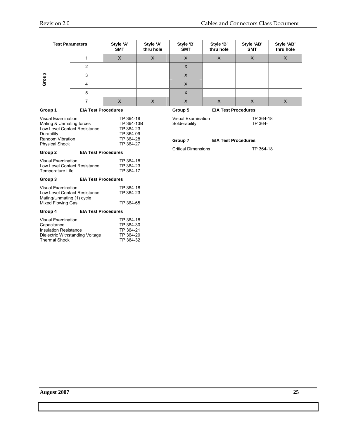|         | <b>Test Parameters</b>     | Style 'A'<br><b>SMT</b> | Style 'A'<br>thru hole | Style 'B'<br><b>SMT</b> | Style 'B'<br>thru hole     | Style 'AB'<br><b>SMT</b> | Style 'AB'<br>thru hole |
|---------|----------------------------|-------------------------|------------------------|-------------------------|----------------------------|--------------------------|-------------------------|
|         |                            | X                       | Χ                      | X                       | X                          | X                        | X                       |
|         | ົ                          |                         |                        | X                       |                            |                          |                         |
|         | 3                          |                         |                        | X                       |                            |                          |                         |
| Group   | 4                          |                         |                        | Χ                       |                            |                          |                         |
|         | 5                          |                         |                        | х                       |                            |                          |                         |
|         |                            | X                       | X                      | Χ                       | X                          | X                        | X                       |
| Group 1 | <b>EIA Test Procedures</b> |                         |                        | Group 5                 | <b>EIA Test Procedures</b> |                          |                         |

| Visual Examination<br>Mating & Unmating forces<br>Low Level Contact Resistance<br>Durability<br>Random Vibration<br><b>Physical Shock</b> | TP 364-18<br>TP 364-13B<br>TP 364-23<br>TP 364-09<br>TP 364-28<br>TP 364-27 |                                                               |
|-------------------------------------------------------------------------------------------------------------------------------------------|-----------------------------------------------------------------------------|---------------------------------------------------------------|
| Group 2                                                                                                                                   | <b>EIA Test Procedures</b>                                                  |                                                               |
| Visual Examination<br><b>Low Level Contact Resistance</b><br>Temperature Life                                                             |                                                                             | TP 364-18<br>TP 364-23<br>TP 364-17                           |
| Group 3                                                                                                                                   | <b>EIA Test Procedures</b>                                                  |                                                               |
| Visual Examination<br>Low Level Contact Resistance<br>Mating/Unmating (1) cycle<br><b>Mixed Flowing Gas</b>                               |                                                                             | TP 364-18<br>TP 364-23<br>TP 364-65                           |
| Group 4                                                                                                                                   | <b>EIA Test Procedures</b>                                                  |                                                               |
| Visual Examination<br>Capacitance<br><b>Insulation Resistance</b><br>Dielectric Withstanding Voltage<br><b>Thermal Shock</b>              |                                                                             | TP 364-18<br>TP 364-30<br>TP 364-21<br>TP 364-20<br>TP 364-32 |

# Visual Examination TP 364-18

Solderability TP 364-

#### **Group 7 EIA Test Procedures**

Critical Dimensions TP 364-18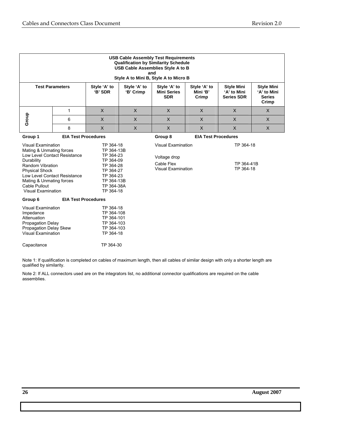|                                                                                                                                                                                                                                                                   | <b>USB Cable Assembly Test Requirements</b><br><b>Qualification by Similarity Schedule</b><br><b>USB Cable Assemblies Style A to B</b><br>and<br>Style A to Mini B, Style A to Micro B |                                                                                                                                   |                           |                                                                                      |                                   |                                                       |                                                            |  |  |  |  |
|-------------------------------------------------------------------------------------------------------------------------------------------------------------------------------------------------------------------------------------------------------------------|----------------------------------------------------------------------------------------------------------------------------------------------------------------------------------------|-----------------------------------------------------------------------------------------------------------------------------------|---------------------------|--------------------------------------------------------------------------------------|-----------------------------------|-------------------------------------------------------|------------------------------------------------------------|--|--|--|--|
| <b>Test Parameters</b>                                                                                                                                                                                                                                            |                                                                                                                                                                                        | Style 'A' to<br>'B' SDR                                                                                                           | Style 'A' to<br>'B' Crimp | Style 'A' to<br><b>Mini Series</b><br><b>SDR</b>                                     | Style 'A' to<br>Mini 'B'<br>Crimp | <b>Style Mini</b><br>'A' to Mini<br><b>Series SDR</b> | <b>Style Mini</b><br>'A' to Mini<br><b>Series</b><br>Crimp |  |  |  |  |
|                                                                                                                                                                                                                                                                   | 1                                                                                                                                                                                      | X                                                                                                                                 | $\mathsf{x}$              | $\times$                                                                             | $\times$                          | $\times$                                              | $\times$                                                   |  |  |  |  |
| Group                                                                                                                                                                                                                                                             | 6                                                                                                                                                                                      | $\mathsf{X}$                                                                                                                      | $\times$                  | $\times$                                                                             | $\mathsf{X}$                      | $\mathsf{X}$                                          | $\mathsf{X}$                                               |  |  |  |  |
|                                                                                                                                                                                                                                                                   | 8                                                                                                                                                                                      | X                                                                                                                                 | X                         | $\mathsf{x}$                                                                         | $\sf X$                           | $\mathsf{x}$                                          | X                                                          |  |  |  |  |
| Group 1                                                                                                                                                                                                                                                           | <b>EIA Test Procedures</b>                                                                                                                                                             |                                                                                                                                   |                           | Group 8                                                                              | <b>EIA Test Procedures</b>        |                                                       |                                                            |  |  |  |  |
| <b>Visual Examination</b><br>Mating & Unmating forces<br><b>Low Level Contact Resistance</b><br>Durability<br>Random Vibration<br><b>Physical Shock</b><br><b>Low Level Contact Resistance</b><br>Mating & Unmating forces<br>Cable Pullout<br>Visual Examination |                                                                                                                                                                                        | TP 364-18<br>TP 364-13B<br>TP 364-23<br>TP 364-09<br>TP 364-28<br>TP 364-27<br>TP 364-23<br>TP 364-13B<br>TP 364-38A<br>TP 364-18 |                           | <b>Visual Examination</b><br>Voltage drop<br>Cable Flex<br><b>Visual Examination</b> |                                   | TP 364-18<br>TP 364-41B<br>TP 364-18                  |                                                            |  |  |  |  |
| Group 6                                                                                                                                                                                                                                                           | <b>EIA Test Procedures</b>                                                                                                                                                             |                                                                                                                                   |                           |                                                                                      |                                   |                                                       |                                                            |  |  |  |  |
| <b>Visual Examination</b><br>Impedance<br>Attenuation<br>Propagation Delay<br>Propagation Delay Skew<br><b>Visual Examination</b>                                                                                                                                 |                                                                                                                                                                                        | TP 364-18<br>TP 364-108<br>TP 364-101<br>TP 364-103<br>TP 364-103<br>TP 364-18                                                    |                           |                                                                                      |                                   |                                                       |                                                            |  |  |  |  |
| Capacitance                                                                                                                                                                                                                                                       |                                                                                                                                                                                        | TP 364-30                                                                                                                         |                           |                                                                                      |                                   |                                                       |                                                            |  |  |  |  |

Note 1: If qualification is completed on cables of maximum length, then all cables of similar design with only a shorter length are qualified by similarity.

Note 2: If ALL connectors used are on the integrators list, no additional connector qualifications are required on the cable assemblies.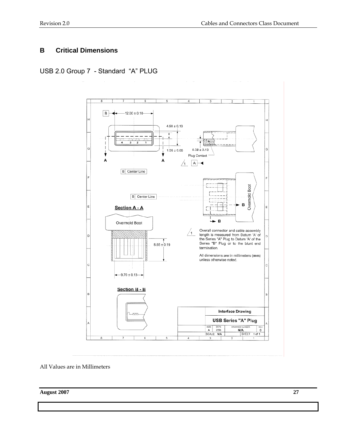#### **B Critical Dimensions**

USB 2.0 Group 7 - Standard "A" PLUG



All Values are in Millimeters

**August 2007 27**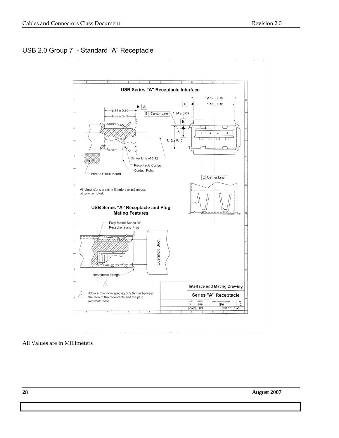#### USB 2.0 Group 7 - Standard "A" Receptacle



#### All Values are in Millimeters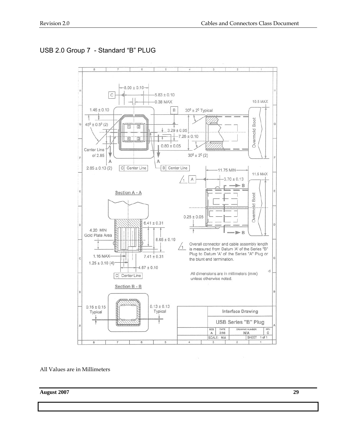# USB 2.0 Group 7 - Standard "B" PLUG



All Values are in Millimeters

**August 2007 29**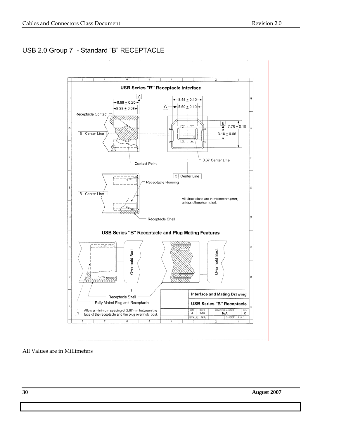# USB 2.0 Group 7 - Standard "B" RECEPTACLE



#### All Values are in Millimeters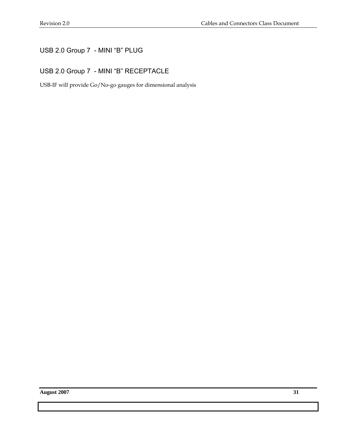# USB 2.0 Group 7 - MINI "B" PLUG

#### USB 2.0 Group 7 - MINI "B" RECEPTACLE

USB-IF will provide Go/No-go gauges for dimensional analysis

**August 2007 31**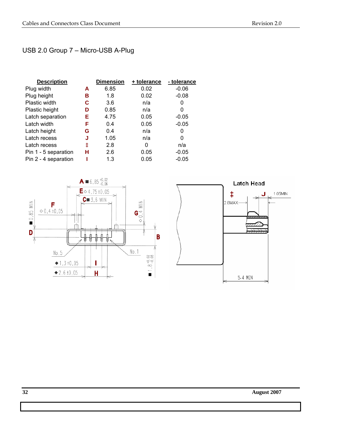# USB 2.0 Group 7 – Micro-USB A-Plug

| <b>Description</b>   |   | <b>Dimension</b> | + tolerance | - tolerance |
|----------------------|---|------------------|-------------|-------------|
| Plug width           | А | 6.85             | 0.02        | $-0.06$     |
| Plug height          | в | 1.8              | 0.02        | $-0.08$     |
| Plastic width        | С | 3.6              | n/a         | 0           |
| Plastic height       | D | 0.85             | n/a         | 0           |
| Latch separation     | Е | 4.75             | 0.05        | $-0.05$     |
| Latch width          | F | 0.4              | 0.05        | $-0.05$     |
| Latch height         | G | 0.4              | n/a         | 0           |
| Latch recess         | J | 1.05             | n/a         | 0           |
| Latch recess         | ŧ | 2.8              | 0           | n/a         |
| Pin 1 - 5 separation | н | 2.6              | 0.05        | $-0.05$     |
| Pin 2 - 4 separation |   | 1.3              | 0.05        | $-0.05$     |





**32 August 2007**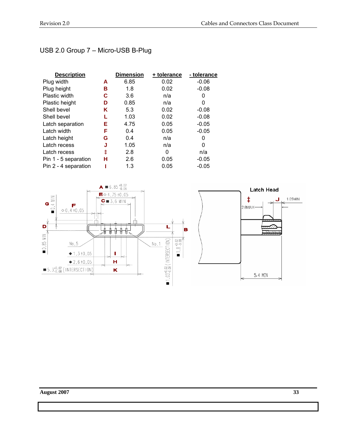# USB 2.0 Group 7 – Micro-USB B-Plug

| <b>Description</b>   |   | <b>Dimension</b> | + tolerance | - tolerance |
|----------------------|---|------------------|-------------|-------------|
| Plug width           | A | 6.85             | 0.02        | $-0.06$     |
| Plug height          | в | 1.8              | 0.02        | $-0.08$     |
| <b>Plastic width</b> | С | 3.6              | n/a         | 0           |
| Plastic height       | D | 0.85             | n/a         | 0           |
| Shell bevel          | Κ | 5.3              | 0.02        | $-0.08$     |
| Shell bevel          |   | 1.03             | 0.02        | $-0.08$     |
| Latch separation     | Е | 4.75             | 0.05        | $-0.05$     |
| Latch width          | F | 0.4              | 0.05        | $-0.05$     |
| Latch height         | G | 0.4              | n/a         | 0           |
| Latch recess         | J | 1.05             | n/a         | 0           |
| Latch recess         | ŧ | 2.8              | 0           | n/a         |
| Pin 1 - 5 separation | н | 2.6              | 0.05        | $-0.05$     |
| Pin 2 - 4 separation |   | 1.3              | 0.05        | $-0.05$     |

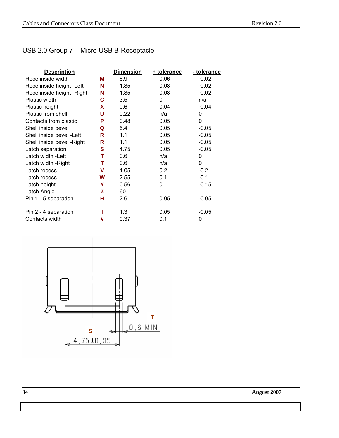# USB 2.0 Group 7 – Micro-USB B-Receptacle

| <b>Description</b>         |   | <b>Dimension</b> | + tolerance | - tolerance |
|----------------------------|---|------------------|-------------|-------------|
| Rece inside width          | М | 6.9              | 0.06        | $-0.02$     |
| Rece inside height - Left  | N | 1.85             | 0.08        | $-0.02$     |
| Rece inside height - Right | N | 1.85             | 0.08        | $-0.02$     |
| Plastic width              | C | 3.5              | $\Omega$    | n/a         |
| Plastic height             | X | 0.6              | 0.04        | $-0.04$     |
| Plastic from shell         | U | 0.22             | n/a         | 0           |
| Contacts from plastic      | P | 0.48             | 0.05        | 0           |
| Shell inside bevel         | Q | 5.4              | 0.05        | $-0.05$     |
| Shell inside bevel -Left   | R | 1.1              | 0.05        | $-0.05$     |
| Shell inside bevel - Right | R | 1.1              | 0.05        | $-0.05$     |
| Latch separation           | S | 4.75             | 0.05        | $-0.05$     |
| Latch width -Left          | т | 0.6              | n/a         | 0           |
| Latch width - Right        | т | 0.6              | n/a         | 0           |
| Latch recess               | v | 1.05             | 0.2         | $-0.2$      |
| Latch recess               | W | 2.55             | 0.1         | $-0.1$      |
| Latch height               | Y | 0.56             | 0           | $-0.15$     |
| Latch Angle                | Z | 60               |             |             |
| Pin 1 - 5 separation       | н | 2.6              | 0.05        | $-0.05$     |
| Pin 2 - 4 separation       |   | 1.3              | 0.05        | $-0.05$     |
| Contacts width             | # | 0.37             | 0.1         | 0           |

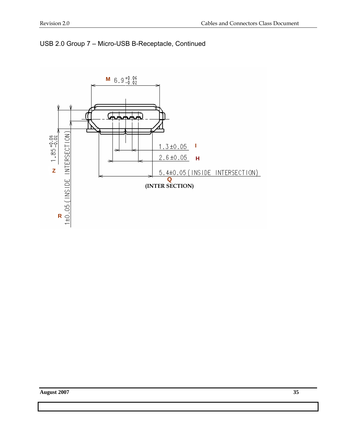

## USB 2.0 Group 7 – Micro-USB B-Receptacle, Continued

**August 2007 35**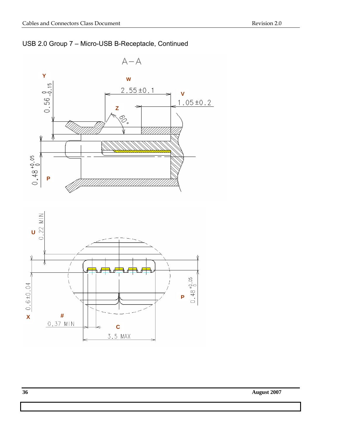



**36 August 2007**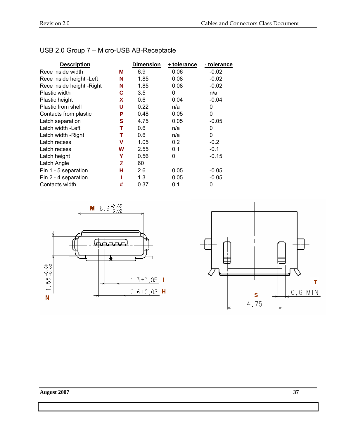| USB 2.0 Group 7 - Micro-USB AB-Receptacle |  |
|-------------------------------------------|--|
|-------------------------------------------|--|

| <b>Description</b>         |   | <b>Dimension</b> | + tolerance | - tolerance |
|----------------------------|---|------------------|-------------|-------------|
| Rece inside width          | М | 6.9              | 0.06        | $-0.02$     |
| Rece inside height - Left  | N | 1.85             | 0.08        | $-0.02$     |
| Rece inside height - Right | N | 1.85             | 0.08        | $-0.02$     |
| <b>Plastic width</b>       | С | 3.5              | 0           | n/a         |
| Plastic height             | X | 0.6              | 0.04        | $-0.04$     |
| Plastic from shell         | U | 0.22             | n/a         | 0           |
| Contacts from plastic      | Р | 0.48             | 0.05        | 0           |
| Latch separation           | s | 4.75             | 0.05        | $-0.05$     |
| Latch width - Left         | т | 0.6              | n/a         | 0           |
| Latch width - Right        | т | 0.6              | n/a         | 0           |
| Latch recess               | v | 1.05             | 0.2         | $-0.2$      |
| Latch recess               | W | 2.55             | 0.1         | $-0.1$      |
| Latch height               | Υ | 0.56             | 0           | $-0.15$     |
| Latch Angle                | z | 60               |             |             |
| Pin 1 - 5 separation       | н | 2.6              | 0.05        | $-0.05$     |
| Pin 2 - 4 separation       |   | 1.3              | 0.05        | $-0.05$     |
| Contacts width             | # | 0.37             | 0.1         | 0           |



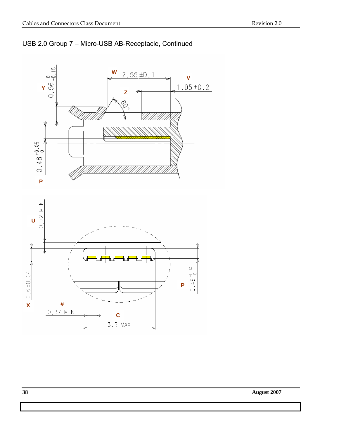



**38 August 2007**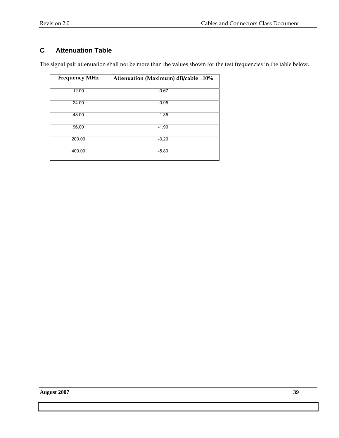# **C Attenuation Table**

The signal pair attenuation shall not be more than the values shown for the test frequencies in the table below.

| <b>Frequency MHz</b> | Attenuation (Maximum) dB/cable ±10% |
|----------------------|-------------------------------------|
| 12.00                | $-0.67$                             |
| 24.00                | $-0.95$                             |
| 48.00                | $-1.35$                             |
| 96.00                | $-1.90$                             |
| 200.00               | $-3.20$                             |
| 400.00               | $-5.80$                             |

**August 2007 39**